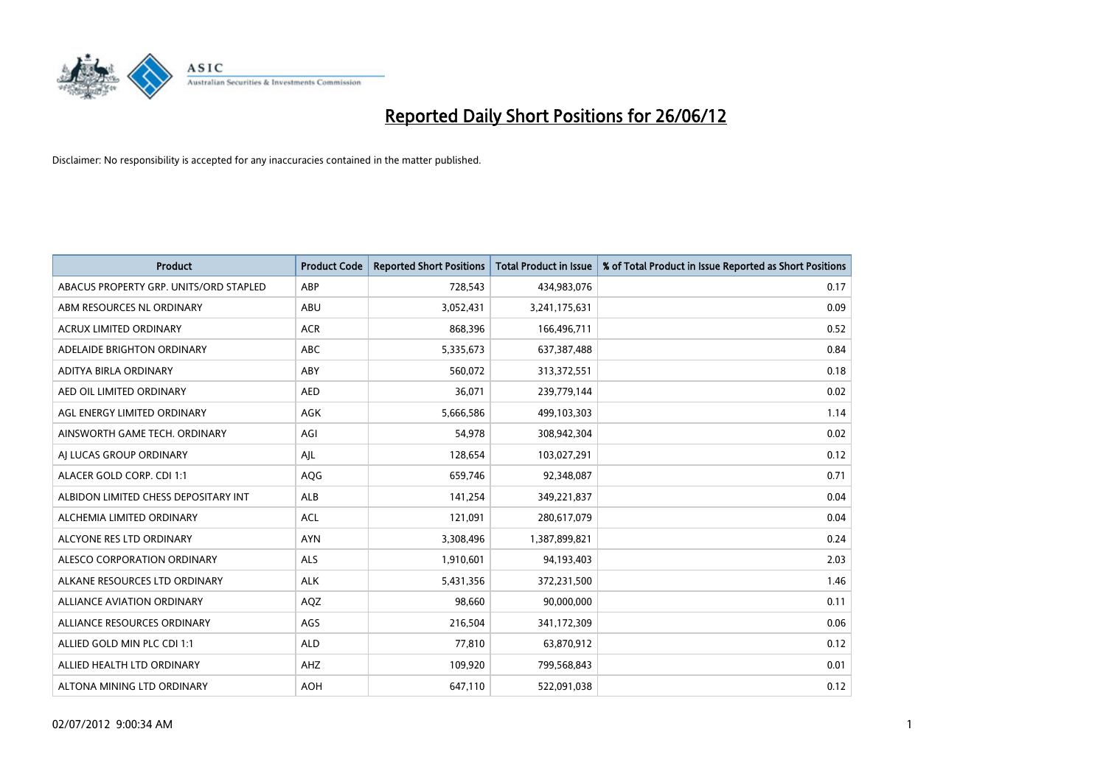

| <b>Product</b>                         | <b>Product Code</b> | <b>Reported Short Positions</b> | <b>Total Product in Issue</b> | % of Total Product in Issue Reported as Short Positions |
|----------------------------------------|---------------------|---------------------------------|-------------------------------|---------------------------------------------------------|
| ABACUS PROPERTY GRP. UNITS/ORD STAPLED | ABP                 | 728,543                         | 434,983,076                   | 0.17                                                    |
| ABM RESOURCES NL ORDINARY              | ABU                 | 3,052,431                       | 3,241,175,631                 | 0.09                                                    |
| <b>ACRUX LIMITED ORDINARY</b>          | <b>ACR</b>          | 868,396                         | 166,496,711                   | 0.52                                                    |
| ADELAIDE BRIGHTON ORDINARY             | <b>ABC</b>          | 5,335,673                       | 637,387,488                   | 0.84                                                    |
| ADITYA BIRLA ORDINARY                  | ABY                 | 560,072                         | 313,372,551                   | 0.18                                                    |
| AED OIL LIMITED ORDINARY               | <b>AED</b>          | 36,071                          | 239,779,144                   | 0.02                                                    |
| AGL ENERGY LIMITED ORDINARY            | AGK                 | 5,666,586                       | 499,103,303                   | 1.14                                                    |
| AINSWORTH GAME TECH. ORDINARY          | AGI                 | 54,978                          | 308,942,304                   | 0.02                                                    |
| AI LUCAS GROUP ORDINARY                | AJL                 | 128,654                         | 103,027,291                   | 0.12                                                    |
| ALACER GOLD CORP. CDI 1:1              | AQG                 | 659,746                         | 92,348,087                    | 0.71                                                    |
| ALBIDON LIMITED CHESS DEPOSITARY INT   | ALB                 | 141,254                         | 349,221,837                   | 0.04                                                    |
| ALCHEMIA LIMITED ORDINARY              | <b>ACL</b>          | 121,091                         | 280,617,079                   | 0.04                                                    |
| ALCYONE RES LTD ORDINARY               | <b>AYN</b>          | 3,308,496                       | 1,387,899,821                 | 0.24                                                    |
| ALESCO CORPORATION ORDINARY            | ALS                 | 1,910,601                       | 94,193,403                    | 2.03                                                    |
| ALKANE RESOURCES LTD ORDINARY          | <b>ALK</b>          | 5,431,356                       | 372,231,500                   | 1.46                                                    |
| ALLIANCE AVIATION ORDINARY             | AQZ                 | 98,660                          | 90,000,000                    | 0.11                                                    |
| ALLIANCE RESOURCES ORDINARY            | AGS                 | 216,504                         | 341,172,309                   | 0.06                                                    |
| ALLIED GOLD MIN PLC CDI 1:1            | <b>ALD</b>          | 77,810                          | 63,870,912                    | 0.12                                                    |
| ALLIED HEALTH LTD ORDINARY             | AHZ                 | 109,920                         | 799,568,843                   | 0.01                                                    |
| ALTONA MINING LTD ORDINARY             | <b>AOH</b>          | 647,110                         | 522,091,038                   | 0.12                                                    |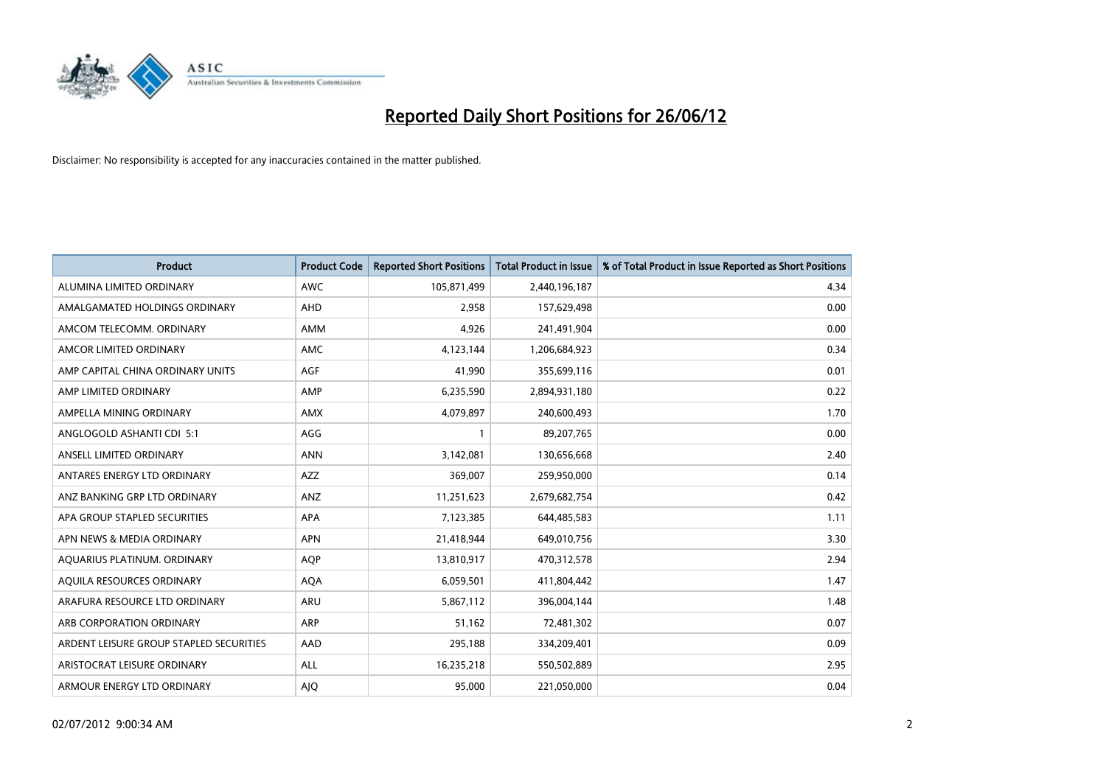

| <b>Product</b>                          | <b>Product Code</b> | <b>Reported Short Positions</b> | <b>Total Product in Issue</b> | % of Total Product in Issue Reported as Short Positions |
|-----------------------------------------|---------------------|---------------------------------|-------------------------------|---------------------------------------------------------|
| ALUMINA LIMITED ORDINARY                | <b>AWC</b>          | 105,871,499                     | 2,440,196,187                 | 4.34                                                    |
| AMALGAMATED HOLDINGS ORDINARY           | AHD                 | 2,958                           | 157,629,498                   | 0.00                                                    |
| AMCOM TELECOMM. ORDINARY                | AMM                 | 4,926                           | 241,491,904                   | 0.00                                                    |
| AMCOR LIMITED ORDINARY                  | AMC                 | 4,123,144                       | 1,206,684,923                 | 0.34                                                    |
| AMP CAPITAL CHINA ORDINARY UNITS        | AGF                 | 41,990                          | 355,699,116                   | 0.01                                                    |
| AMP LIMITED ORDINARY                    | AMP                 | 6,235,590                       | 2,894,931,180                 | 0.22                                                    |
| AMPELLA MINING ORDINARY                 | AMX                 | 4,079,897                       | 240,600,493                   | 1.70                                                    |
| ANGLOGOLD ASHANTI CDI 5:1               | AGG                 | 1                               | 89,207,765                    | 0.00                                                    |
| ANSELL LIMITED ORDINARY                 | <b>ANN</b>          | 3,142,081                       | 130,656,668                   | 2.40                                                    |
| ANTARES ENERGY LTD ORDINARY             | <b>AZZ</b>          | 369,007                         | 259,950,000                   | 0.14                                                    |
| ANZ BANKING GRP LTD ORDINARY            | ANZ                 | 11,251,623                      | 2,679,682,754                 | 0.42                                                    |
| APA GROUP STAPLED SECURITIES            | <b>APA</b>          | 7,123,385                       | 644,485,583                   | 1.11                                                    |
| APN NEWS & MEDIA ORDINARY               | <b>APN</b>          | 21,418,944                      | 649,010,756                   | 3.30                                                    |
| AQUARIUS PLATINUM. ORDINARY             | <b>AOP</b>          | 13,810,917                      | 470,312,578                   | 2.94                                                    |
| AQUILA RESOURCES ORDINARY               | <b>AQA</b>          | 6,059,501                       | 411,804,442                   | 1.47                                                    |
| ARAFURA RESOURCE LTD ORDINARY           | ARU                 | 5,867,112                       | 396,004,144                   | 1.48                                                    |
| ARB CORPORATION ORDINARY                | ARP                 | 51,162                          | 72,481,302                    | 0.07                                                    |
| ARDENT LEISURE GROUP STAPLED SECURITIES | AAD                 | 295,188                         | 334,209,401                   | 0.09                                                    |
| ARISTOCRAT LEISURE ORDINARY             | ALL                 | 16,235,218                      | 550,502,889                   | 2.95                                                    |
| ARMOUR ENERGY LTD ORDINARY              | AJQ                 | 95.000                          | 221,050,000                   | 0.04                                                    |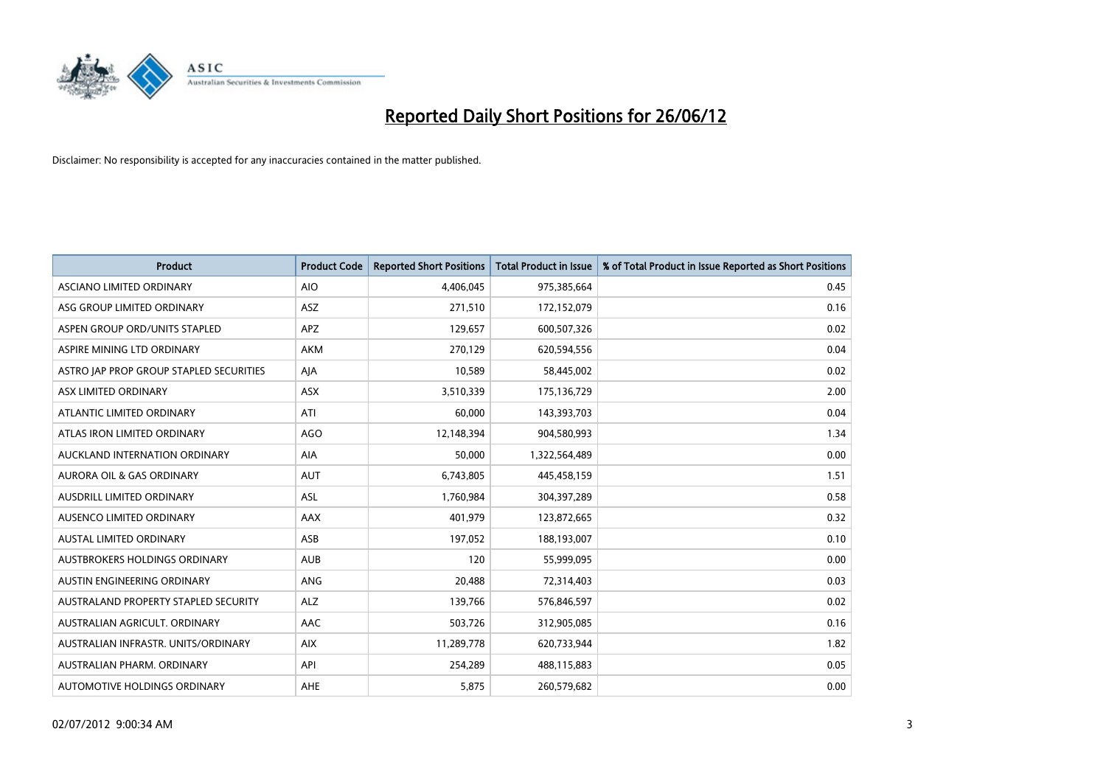

| <b>Product</b>                          | <b>Product Code</b> | <b>Reported Short Positions</b> | <b>Total Product in Issue</b> | % of Total Product in Issue Reported as Short Positions |
|-----------------------------------------|---------------------|---------------------------------|-------------------------------|---------------------------------------------------------|
| ASCIANO LIMITED ORDINARY                | <b>AIO</b>          | 4,406,045                       | 975,385,664                   | 0.45                                                    |
| ASG GROUP LIMITED ORDINARY              | ASZ                 | 271,510                         | 172,152,079                   | 0.16                                                    |
| ASPEN GROUP ORD/UNITS STAPLED           | <b>APZ</b>          | 129,657                         | 600,507,326                   | 0.02                                                    |
| ASPIRE MINING LTD ORDINARY              | <b>AKM</b>          | 270,129                         | 620,594,556                   | 0.04                                                    |
| ASTRO JAP PROP GROUP STAPLED SECURITIES | AJA                 | 10,589                          | 58,445,002                    | 0.02                                                    |
| ASX LIMITED ORDINARY                    | ASX                 | 3,510,339                       | 175,136,729                   | 2.00                                                    |
| ATLANTIC LIMITED ORDINARY               | ATI                 | 60,000                          | 143,393,703                   | 0.04                                                    |
| ATLAS IRON LIMITED ORDINARY             | <b>AGO</b>          | 12,148,394                      | 904,580,993                   | 1.34                                                    |
| AUCKLAND INTERNATION ORDINARY           | AIA                 | 50,000                          | 1,322,564,489                 | 0.00                                                    |
| <b>AURORA OIL &amp; GAS ORDINARY</b>    | <b>AUT</b>          | 6,743,805                       | 445,458,159                   | 1.51                                                    |
| AUSDRILL LIMITED ORDINARY               | ASL                 | 1,760,984                       | 304,397,289                   | 0.58                                                    |
| AUSENCO LIMITED ORDINARY                | AAX                 | 401,979                         | 123,872,665                   | 0.32                                                    |
| AUSTAL LIMITED ORDINARY                 | ASB                 | 197,052                         | 188,193,007                   | 0.10                                                    |
| AUSTBROKERS HOLDINGS ORDINARY           | <b>AUB</b>          | 120                             | 55,999,095                    | 0.00                                                    |
| AUSTIN ENGINEERING ORDINARY             | ANG                 | 20,488                          | 72,314,403                    | 0.03                                                    |
| AUSTRALAND PROPERTY STAPLED SECURITY    | <b>ALZ</b>          | 139,766                         | 576,846,597                   | 0.02                                                    |
| AUSTRALIAN AGRICULT. ORDINARY           | AAC                 | 503,726                         | 312,905,085                   | 0.16                                                    |
| AUSTRALIAN INFRASTR, UNITS/ORDINARY     | <b>AIX</b>          | 11,289,778                      | 620,733,944                   | 1.82                                                    |
| AUSTRALIAN PHARM, ORDINARY              | API                 | 254,289                         | 488,115,883                   | 0.05                                                    |
| AUTOMOTIVE HOLDINGS ORDINARY            | <b>AHE</b>          | 5,875                           | 260,579,682                   | 0.00                                                    |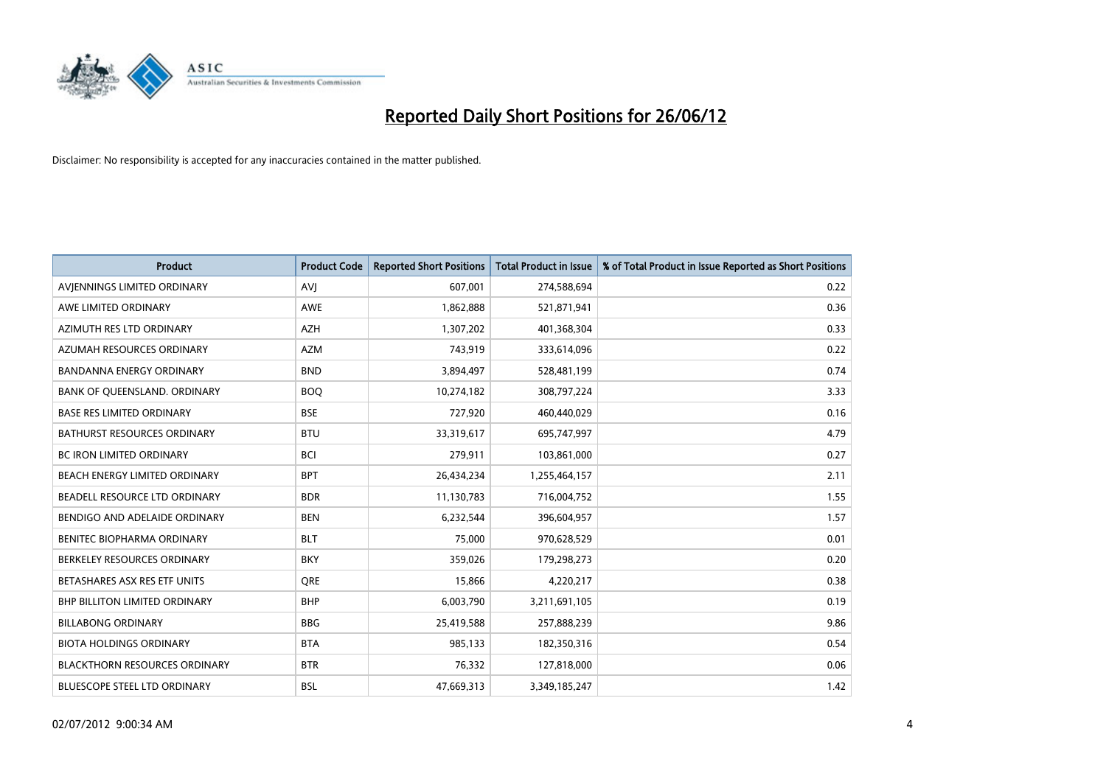

| <b>Product</b>                       | <b>Product Code</b> | <b>Reported Short Positions</b> | <b>Total Product in Issue</b> | % of Total Product in Issue Reported as Short Positions |
|--------------------------------------|---------------------|---------------------------------|-------------------------------|---------------------------------------------------------|
| AVIENNINGS LIMITED ORDINARY          | <b>AVJ</b>          | 607,001                         | 274,588,694                   | 0.22                                                    |
| AWE LIMITED ORDINARY                 | AWE                 | 1,862,888                       | 521,871,941                   | 0.36                                                    |
| AZIMUTH RES LTD ORDINARY             | <b>AZH</b>          | 1,307,202                       | 401,368,304                   | 0.33                                                    |
| AZUMAH RESOURCES ORDINARY            | <b>AZM</b>          | 743,919                         | 333,614,096                   | 0.22                                                    |
| <b>BANDANNA ENERGY ORDINARY</b>      | <b>BND</b>          | 3,894,497                       | 528,481,199                   | 0.74                                                    |
| BANK OF QUEENSLAND. ORDINARY         | <b>BOO</b>          | 10,274,182                      | 308,797,224                   | 3.33                                                    |
| <b>BASE RES LIMITED ORDINARY</b>     | <b>BSE</b>          | 727,920                         | 460,440,029                   | 0.16                                                    |
| BATHURST RESOURCES ORDINARY          | <b>BTU</b>          | 33,319,617                      | 695,747,997                   | 4.79                                                    |
| BC IRON LIMITED ORDINARY             | <b>BCI</b>          | 279,911                         | 103,861,000                   | 0.27                                                    |
| BEACH ENERGY LIMITED ORDINARY        | <b>BPT</b>          | 26,434,234                      | 1,255,464,157                 | 2.11                                                    |
| BEADELL RESOURCE LTD ORDINARY        | <b>BDR</b>          | 11,130,783                      | 716,004,752                   | 1.55                                                    |
| BENDIGO AND ADELAIDE ORDINARY        | <b>BEN</b>          | 6,232,544                       | 396,604,957                   | 1.57                                                    |
| BENITEC BIOPHARMA ORDINARY           | <b>BLT</b>          | 75,000                          | 970,628,529                   | 0.01                                                    |
| BERKELEY RESOURCES ORDINARY          | <b>BKY</b>          | 359,026                         | 179,298,273                   | 0.20                                                    |
| BETASHARES ASX RES ETF UNITS         | <b>ORE</b>          | 15,866                          | 4,220,217                     | 0.38                                                    |
| <b>BHP BILLITON LIMITED ORDINARY</b> | <b>BHP</b>          | 6,003,790                       | 3,211,691,105                 | 0.19                                                    |
| <b>BILLABONG ORDINARY</b>            | <b>BBG</b>          | 25,419,588                      | 257,888,239                   | 9.86                                                    |
| <b>BIOTA HOLDINGS ORDINARY</b>       | <b>BTA</b>          | 985,133                         | 182,350,316                   | 0.54                                                    |
| <b>BLACKTHORN RESOURCES ORDINARY</b> | <b>BTR</b>          | 76,332                          | 127,818,000                   | 0.06                                                    |
| BLUESCOPE STEEL LTD ORDINARY         | <b>BSL</b>          | 47,669,313                      | 3,349,185,247                 | 1.42                                                    |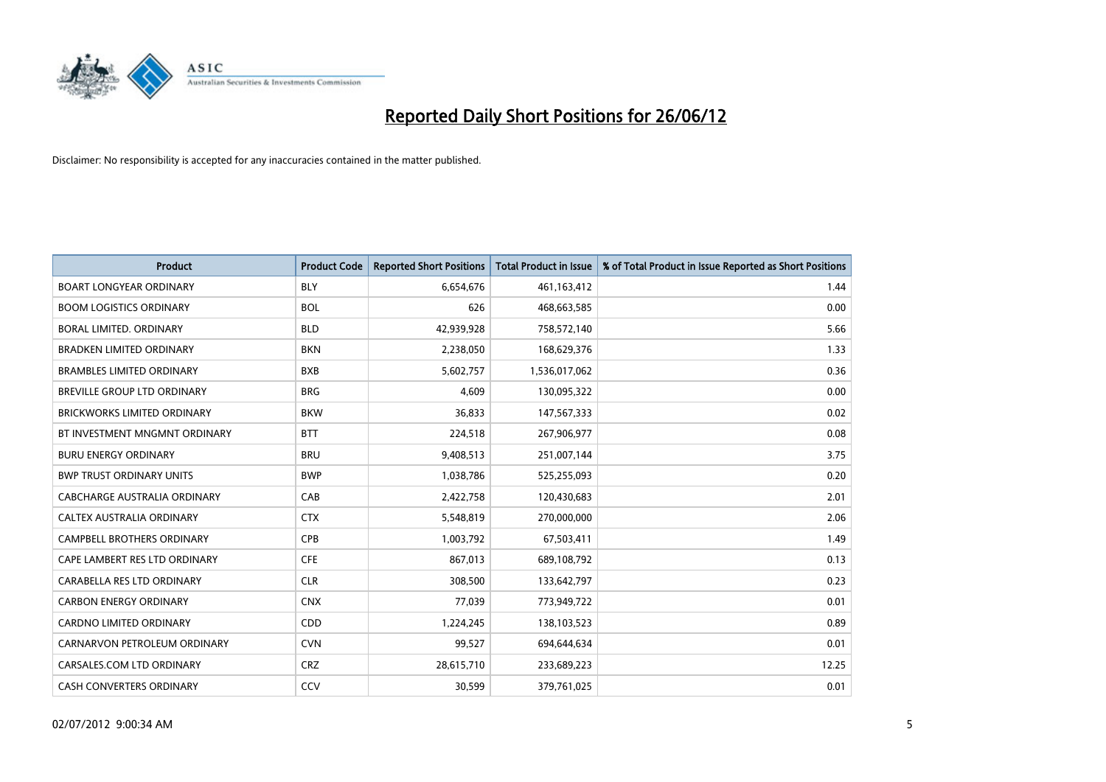

| Product                            | <b>Product Code</b> | <b>Reported Short Positions</b> | <b>Total Product in Issue</b> | % of Total Product in Issue Reported as Short Positions |
|------------------------------------|---------------------|---------------------------------|-------------------------------|---------------------------------------------------------|
| <b>BOART LONGYEAR ORDINARY</b>     | <b>BLY</b>          | 6,654,676                       | 461,163,412                   | 1.44                                                    |
| <b>BOOM LOGISTICS ORDINARY</b>     | <b>BOL</b>          | 626                             | 468,663,585                   | 0.00                                                    |
| BORAL LIMITED, ORDINARY            | <b>BLD</b>          | 42,939,928                      | 758,572,140                   | 5.66                                                    |
| <b>BRADKEN LIMITED ORDINARY</b>    | <b>BKN</b>          | 2,238,050                       | 168,629,376                   | 1.33                                                    |
| <b>BRAMBLES LIMITED ORDINARY</b>   | <b>BXB</b>          | 5,602,757                       | 1,536,017,062                 | 0.36                                                    |
| <b>BREVILLE GROUP LTD ORDINARY</b> | <b>BRG</b>          | 4,609                           | 130,095,322                   | 0.00                                                    |
| <b>BRICKWORKS LIMITED ORDINARY</b> | <b>BKW</b>          | 36,833                          | 147,567,333                   | 0.02                                                    |
| BT INVESTMENT MNGMNT ORDINARY      | <b>BTT</b>          | 224,518                         | 267,906,977                   | 0.08                                                    |
| <b>BURU ENERGY ORDINARY</b>        | <b>BRU</b>          | 9,408,513                       | 251,007,144                   | 3.75                                                    |
| <b>BWP TRUST ORDINARY UNITS</b>    | <b>BWP</b>          | 1,038,786                       | 525,255,093                   | 0.20                                                    |
| CABCHARGE AUSTRALIA ORDINARY       | CAB                 | 2,422,758                       | 120,430,683                   | 2.01                                                    |
| CALTEX AUSTRALIA ORDINARY          | <b>CTX</b>          | 5,548,819                       | 270,000,000                   | 2.06                                                    |
| <b>CAMPBELL BROTHERS ORDINARY</b>  | <b>CPB</b>          | 1,003,792                       | 67,503,411                    | 1.49                                                    |
| CAPE LAMBERT RES LTD ORDINARY      | <b>CFE</b>          | 867,013                         | 689,108,792                   | 0.13                                                    |
| CARABELLA RES LTD ORDINARY         | <b>CLR</b>          | 308,500                         | 133,642,797                   | 0.23                                                    |
| <b>CARBON ENERGY ORDINARY</b>      | <b>CNX</b>          | 77,039                          | 773,949,722                   | 0.01                                                    |
| <b>CARDNO LIMITED ORDINARY</b>     | CDD                 | 1,224,245                       | 138,103,523                   | 0.89                                                    |
| CARNARVON PETROLEUM ORDINARY       | <b>CVN</b>          | 99,527                          | 694,644,634                   | 0.01                                                    |
| CARSALES.COM LTD ORDINARY          | <b>CRZ</b>          | 28,615,710                      | 233,689,223                   | 12.25                                                   |
| <b>CASH CONVERTERS ORDINARY</b>    | CCV                 | 30,599                          | 379,761,025                   | 0.01                                                    |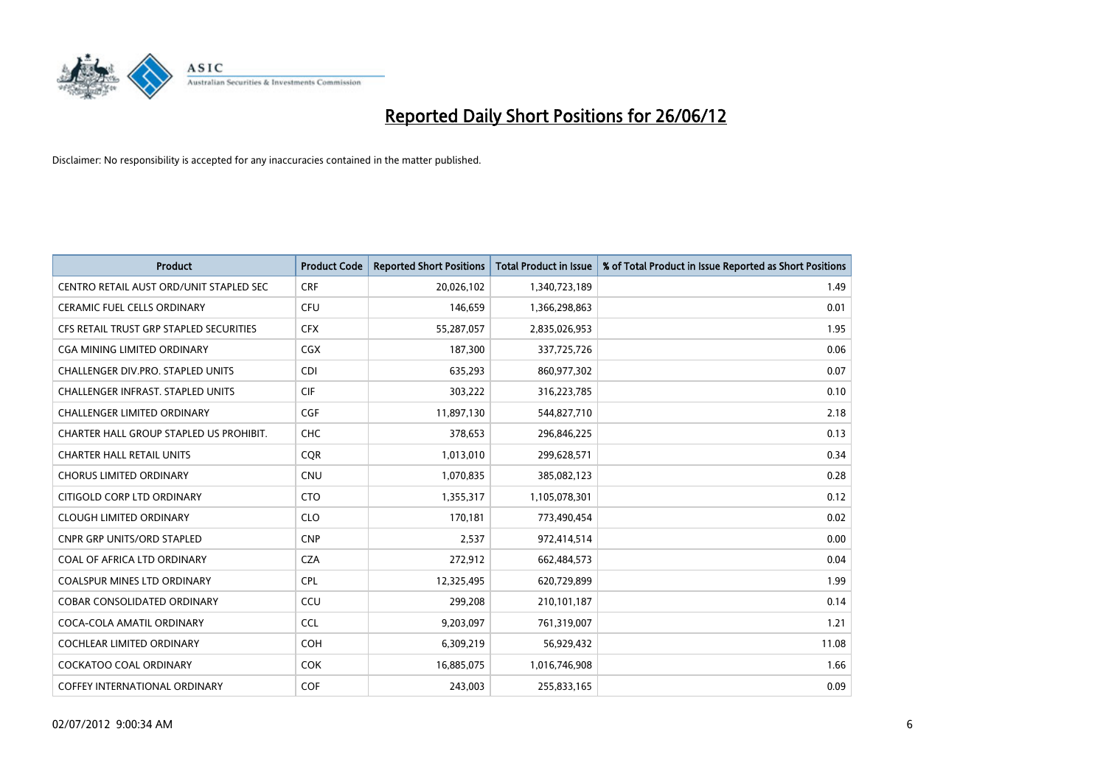

| <b>Product</b>                           | <b>Product Code</b> | <b>Reported Short Positions</b> | <b>Total Product in Issue</b> | % of Total Product in Issue Reported as Short Positions |
|------------------------------------------|---------------------|---------------------------------|-------------------------------|---------------------------------------------------------|
| CENTRO RETAIL AUST ORD/UNIT STAPLED SEC  | <b>CRF</b>          | 20,026,102                      | 1,340,723,189                 | 1.49                                                    |
| CERAMIC FUEL CELLS ORDINARY              | <b>CFU</b>          | 146,659                         | 1,366,298,863                 | 0.01                                                    |
| CFS RETAIL TRUST GRP STAPLED SECURITIES  | <b>CFX</b>          | 55,287,057                      | 2,835,026,953                 | 1.95                                                    |
| CGA MINING LIMITED ORDINARY              | CGX                 | 187,300                         | 337,725,726                   | 0.06                                                    |
| CHALLENGER DIV.PRO. STAPLED UNITS        | <b>CDI</b>          | 635,293                         | 860,977,302                   | 0.07                                                    |
| <b>CHALLENGER INFRAST, STAPLED UNITS</b> | <b>CIF</b>          | 303,222                         | 316,223,785                   | 0.10                                                    |
| <b>CHALLENGER LIMITED ORDINARY</b>       | <b>CGF</b>          | 11,897,130                      | 544,827,710                   | 2.18                                                    |
| CHARTER HALL GROUP STAPLED US PROHIBIT.  | <b>CHC</b>          | 378,653                         | 296,846,225                   | 0.13                                                    |
| <b>CHARTER HALL RETAIL UNITS</b>         | <b>COR</b>          | 1,013,010                       | 299,628,571                   | 0.34                                                    |
| <b>CHORUS LIMITED ORDINARY</b>           | <b>CNU</b>          | 1,070,835                       | 385,082,123                   | 0.28                                                    |
| CITIGOLD CORP LTD ORDINARY               | <b>CTO</b>          | 1,355,317                       | 1,105,078,301                 | 0.12                                                    |
| <b>CLOUGH LIMITED ORDINARY</b>           | <b>CLO</b>          | 170,181                         | 773,490,454                   | 0.02                                                    |
| <b>CNPR GRP UNITS/ORD STAPLED</b>        | <b>CNP</b>          | 2,537                           | 972,414,514                   | 0.00                                                    |
| COAL OF AFRICA LTD ORDINARY              | <b>CZA</b>          | 272,912                         | 662,484,573                   | 0.04                                                    |
| <b>COALSPUR MINES LTD ORDINARY</b>       | <b>CPL</b>          | 12,325,495                      | 620,729,899                   | 1.99                                                    |
| <b>COBAR CONSOLIDATED ORDINARY</b>       | CCU                 | 299,208                         | 210,101,187                   | 0.14                                                    |
| COCA-COLA AMATIL ORDINARY                | <b>CCL</b>          | 9,203,097                       | 761,319,007                   | 1.21                                                    |
| COCHLEAR LIMITED ORDINARY                | <b>COH</b>          | 6,309,219                       | 56,929,432                    | 11.08                                                   |
| <b>COCKATOO COAL ORDINARY</b>            | <b>COK</b>          | 16,885,075                      | 1,016,746,908                 | 1.66                                                    |
| <b>COFFEY INTERNATIONAL ORDINARY</b>     | <b>COF</b>          | 243,003                         | 255,833,165                   | 0.09                                                    |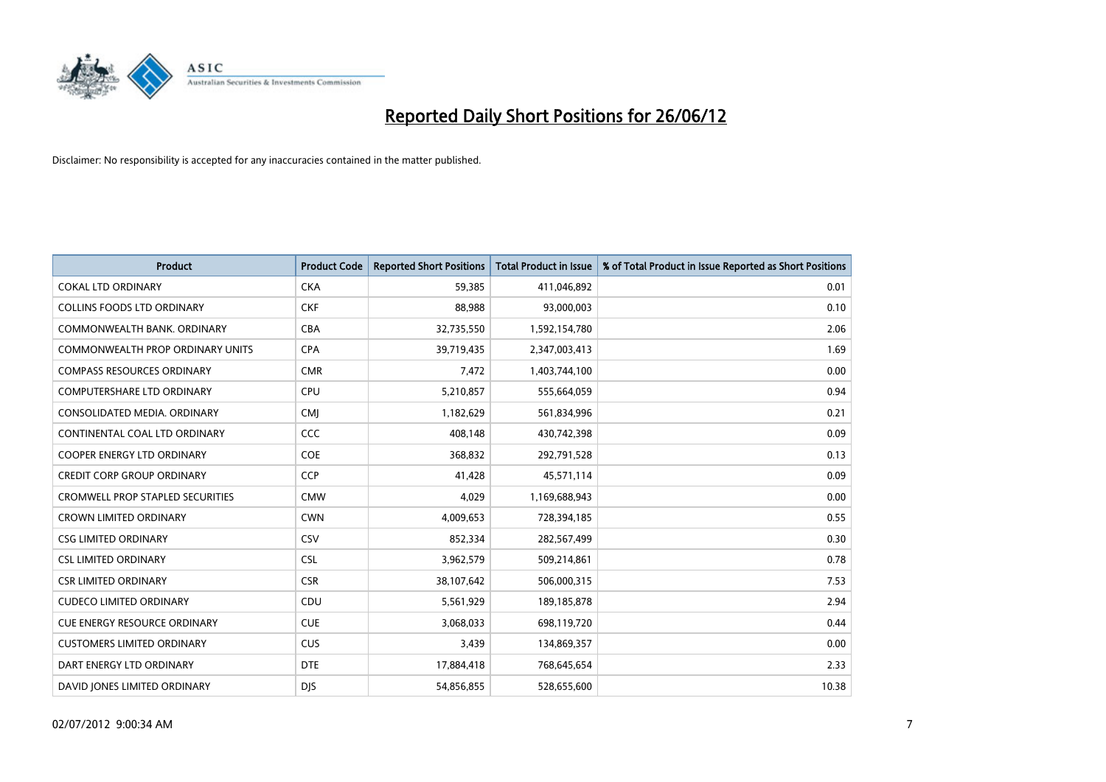

| <b>Product</b>                          | <b>Product Code</b> | <b>Reported Short Positions</b> | <b>Total Product in Issue</b> | % of Total Product in Issue Reported as Short Positions |
|-----------------------------------------|---------------------|---------------------------------|-------------------------------|---------------------------------------------------------|
| <b>COKAL LTD ORDINARY</b>               | <b>CKA</b>          | 59,385                          | 411,046,892                   | 0.01                                                    |
| COLLINS FOODS LTD ORDINARY              | <b>CKF</b>          | 88,988                          | 93,000,003                    | 0.10                                                    |
| COMMONWEALTH BANK, ORDINARY             | <b>CBA</b>          | 32,735,550                      | 1,592,154,780                 | 2.06                                                    |
| COMMONWEALTH PROP ORDINARY UNITS        | <b>CPA</b>          | 39,719,435                      | 2,347,003,413                 | 1.69                                                    |
| <b>COMPASS RESOURCES ORDINARY</b>       | <b>CMR</b>          | 7,472                           | 1,403,744,100                 | 0.00                                                    |
| <b>COMPUTERSHARE LTD ORDINARY</b>       | <b>CPU</b>          | 5,210,857                       | 555,664,059                   | 0.94                                                    |
| CONSOLIDATED MEDIA, ORDINARY            | <b>CMI</b>          | 1,182,629                       | 561,834,996                   | 0.21                                                    |
| CONTINENTAL COAL LTD ORDINARY           | CCC                 | 408,148                         | 430,742,398                   | 0.09                                                    |
| <b>COOPER ENERGY LTD ORDINARY</b>       | <b>COE</b>          | 368,832                         | 292,791,528                   | 0.13                                                    |
| <b>CREDIT CORP GROUP ORDINARY</b>       | <b>CCP</b>          | 41,428                          | 45,571,114                    | 0.09                                                    |
| <b>CROMWELL PROP STAPLED SECURITIES</b> | <b>CMW</b>          | 4,029                           | 1,169,688,943                 | 0.00                                                    |
| <b>CROWN LIMITED ORDINARY</b>           | <b>CWN</b>          | 4,009,653                       | 728,394,185                   | 0.55                                                    |
| <b>CSG LIMITED ORDINARY</b>             | <b>CSV</b>          | 852,334                         | 282,567,499                   | 0.30                                                    |
| <b>CSL LIMITED ORDINARY</b>             | <b>CSL</b>          | 3,962,579                       | 509,214,861                   | 0.78                                                    |
| <b>CSR LIMITED ORDINARY</b>             | <b>CSR</b>          | 38,107,642                      | 506,000,315                   | 7.53                                                    |
| <b>CUDECO LIMITED ORDINARY</b>          | CDU                 | 5,561,929                       | 189, 185, 878                 | 2.94                                                    |
| CUE ENERGY RESOURCE ORDINARY            | <b>CUE</b>          | 3,068,033                       | 698,119,720                   | 0.44                                                    |
| <b>CUSTOMERS LIMITED ORDINARY</b>       | <b>CUS</b>          | 3,439                           | 134,869,357                   | 0.00                                                    |
| DART ENERGY LTD ORDINARY                | <b>DTE</b>          | 17,884,418                      | 768,645,654                   | 2.33                                                    |
| DAVID JONES LIMITED ORDINARY            | <b>DJS</b>          | 54,856,855                      | 528,655,600                   | 10.38                                                   |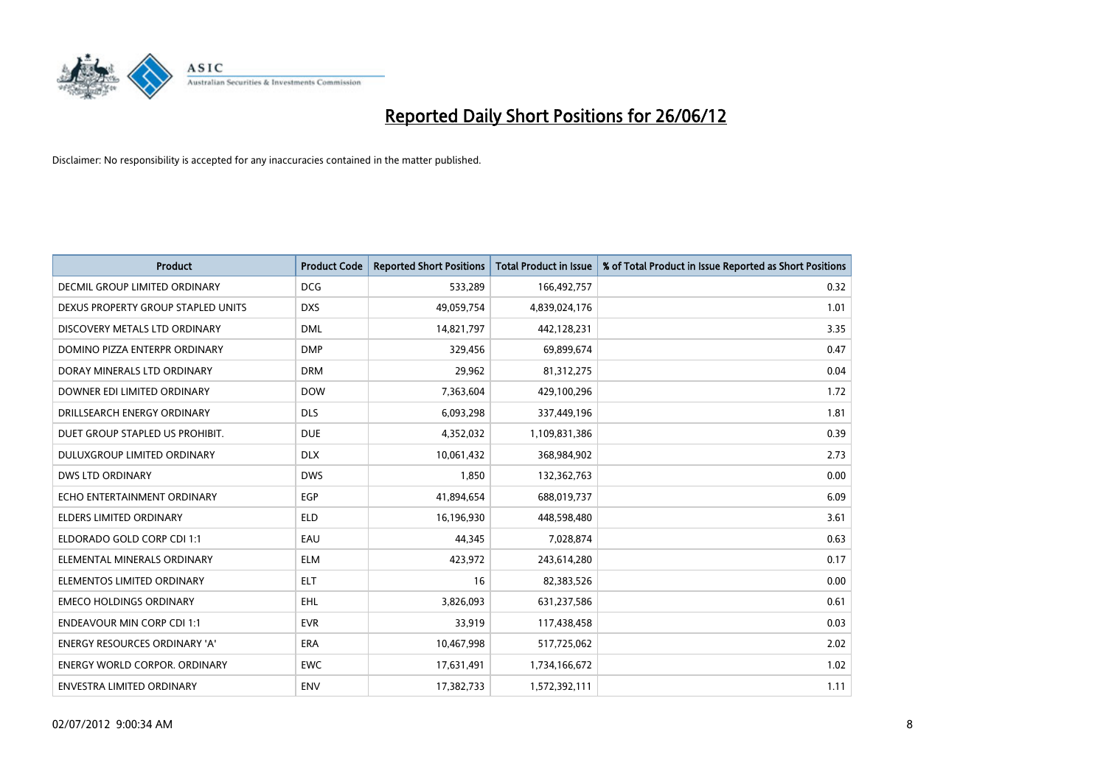

| <b>Product</b>                       | <b>Product Code</b> | <b>Reported Short Positions</b> | <b>Total Product in Issue</b> | % of Total Product in Issue Reported as Short Positions |
|--------------------------------------|---------------------|---------------------------------|-------------------------------|---------------------------------------------------------|
| <b>DECMIL GROUP LIMITED ORDINARY</b> | <b>DCG</b>          | 533,289                         | 166,492,757                   | 0.32                                                    |
| DEXUS PROPERTY GROUP STAPLED UNITS   | <b>DXS</b>          | 49,059,754                      | 4,839,024,176                 | 1.01                                                    |
| DISCOVERY METALS LTD ORDINARY        | <b>DML</b>          | 14,821,797                      | 442,128,231                   | 3.35                                                    |
| DOMINO PIZZA ENTERPR ORDINARY        | <b>DMP</b>          | 329,456                         | 69,899,674                    | 0.47                                                    |
| DORAY MINERALS LTD ORDINARY          | <b>DRM</b>          | 29,962                          | 81,312,275                    | 0.04                                                    |
| DOWNER EDI LIMITED ORDINARY          | <b>DOW</b>          | 7,363,604                       | 429,100,296                   | 1.72                                                    |
| DRILLSEARCH ENERGY ORDINARY          | <b>DLS</b>          | 6,093,298                       | 337,449,196                   | 1.81                                                    |
| DUET GROUP STAPLED US PROHIBIT.      | <b>DUE</b>          | 4,352,032                       | 1,109,831,386                 | 0.39                                                    |
| DULUXGROUP LIMITED ORDINARY          | <b>DLX</b>          | 10,061,432                      | 368,984,902                   | 2.73                                                    |
| <b>DWS LTD ORDINARY</b>              | <b>DWS</b>          | 1,850                           | 132,362,763                   | 0.00                                                    |
| ECHO ENTERTAINMENT ORDINARY          | <b>EGP</b>          | 41,894,654                      | 688,019,737                   | 6.09                                                    |
| <b>ELDERS LIMITED ORDINARY</b>       | <b>ELD</b>          | 16,196,930                      | 448,598,480                   | 3.61                                                    |
| ELDORADO GOLD CORP CDI 1:1           | EAU                 | 44,345                          | 7,028,874                     | 0.63                                                    |
| ELEMENTAL MINERALS ORDINARY          | <b>ELM</b>          | 423,972                         | 243,614,280                   | 0.17                                                    |
| ELEMENTOS LIMITED ORDINARY           | <b>ELT</b>          | 16                              | 82,383,526                    | 0.00                                                    |
| <b>EMECO HOLDINGS ORDINARY</b>       | <b>EHL</b>          | 3,826,093                       | 631,237,586                   | 0.61                                                    |
| <b>ENDEAVOUR MIN CORP CDI 1:1</b>    | <b>EVR</b>          | 33,919                          | 117,438,458                   | 0.03                                                    |
| ENERGY RESOURCES ORDINARY 'A'        | <b>ERA</b>          | 10,467,998                      | 517,725,062                   | 2.02                                                    |
| <b>ENERGY WORLD CORPOR, ORDINARY</b> | <b>EWC</b>          | 17,631,491                      | 1,734,166,672                 | 1.02                                                    |
| ENVESTRA LIMITED ORDINARY            | ENV                 | 17,382,733                      | 1,572,392,111                 | 1.11                                                    |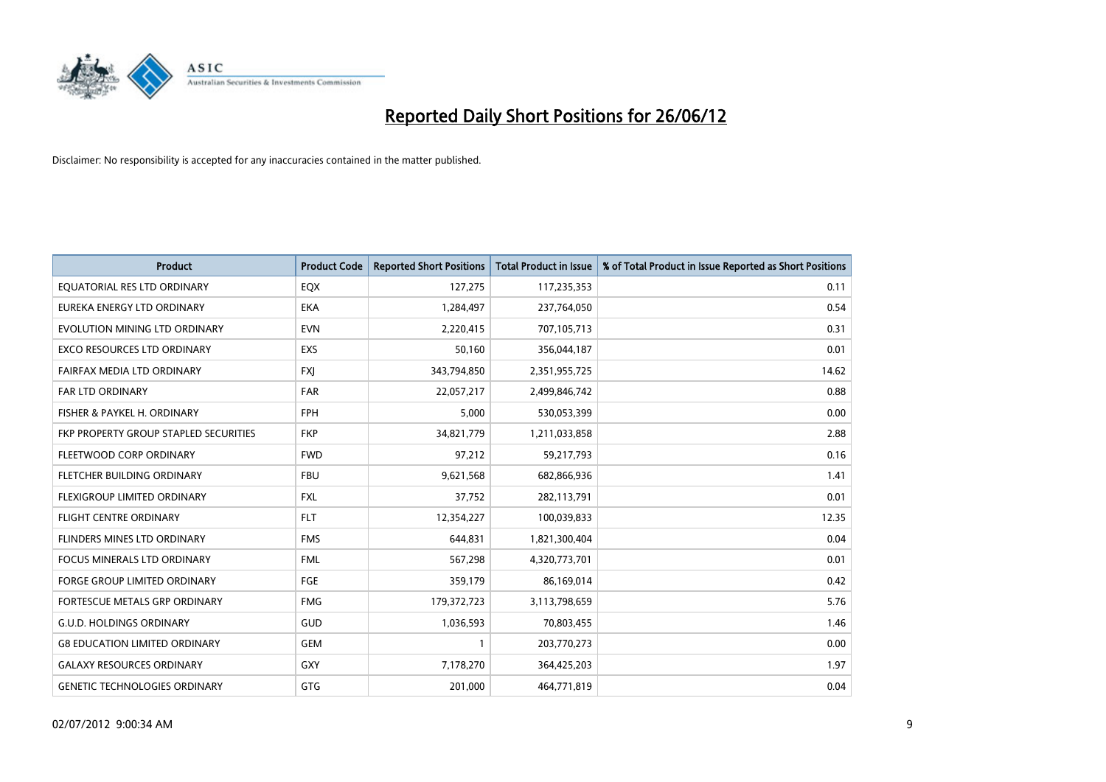

| <b>Product</b>                        | <b>Product Code</b> | <b>Reported Short Positions</b> | <b>Total Product in Issue</b> | % of Total Product in Issue Reported as Short Positions |
|---------------------------------------|---------------------|---------------------------------|-------------------------------|---------------------------------------------------------|
| EQUATORIAL RES LTD ORDINARY           | EQX                 | 127,275                         | 117,235,353                   | 0.11                                                    |
| EUREKA ENERGY LTD ORDINARY            | EKA                 | 1,284,497                       | 237,764,050                   | 0.54                                                    |
| EVOLUTION MINING LTD ORDINARY         | <b>EVN</b>          | 2,220,415                       | 707,105,713                   | 0.31                                                    |
| EXCO RESOURCES LTD ORDINARY           | EXS                 | 50,160                          | 356,044,187                   | 0.01                                                    |
| FAIRFAX MEDIA LTD ORDINARY            | <b>FXI</b>          | 343,794,850                     | 2,351,955,725                 | 14.62                                                   |
| <b>FAR LTD ORDINARY</b>               | <b>FAR</b>          | 22,057,217                      | 2,499,846,742                 | 0.88                                                    |
| FISHER & PAYKEL H. ORDINARY           | <b>FPH</b>          | 5,000                           | 530,053,399                   | 0.00                                                    |
| FKP PROPERTY GROUP STAPLED SECURITIES | <b>FKP</b>          | 34,821,779                      | 1,211,033,858                 | 2.88                                                    |
| FLEETWOOD CORP ORDINARY               | <b>FWD</b>          | 97,212                          | 59,217,793                    | 0.16                                                    |
| FLETCHER BUILDING ORDINARY            | <b>FBU</b>          | 9,621,568                       | 682,866,936                   | 1.41                                                    |
| FLEXIGROUP LIMITED ORDINARY           | <b>FXL</b>          | 37,752                          | 282,113,791                   | 0.01                                                    |
| <b>FLIGHT CENTRE ORDINARY</b>         | <b>FLT</b>          | 12,354,227                      | 100,039,833                   | 12.35                                                   |
| FLINDERS MINES LTD ORDINARY           | <b>FMS</b>          | 644,831                         | 1,821,300,404                 | 0.04                                                    |
| <b>FOCUS MINERALS LTD ORDINARY</b>    | <b>FML</b>          | 567,298                         | 4,320,773,701                 | 0.01                                                    |
| <b>FORGE GROUP LIMITED ORDINARY</b>   | FGE                 | 359,179                         | 86,169,014                    | 0.42                                                    |
| FORTESCUE METALS GRP ORDINARY         | <b>FMG</b>          | 179, 372, 723                   | 3,113,798,659                 | 5.76                                                    |
| <b>G.U.D. HOLDINGS ORDINARY</b>       | GUD                 | 1,036,593                       | 70,803,455                    | 1.46                                                    |
| <b>G8 EDUCATION LIMITED ORDINARY</b>  | <b>GEM</b>          | $\mathbf{1}$                    | 203,770,273                   | 0.00                                                    |
| <b>GALAXY RESOURCES ORDINARY</b>      | GXY                 | 7,178,270                       | 364,425,203                   | 1.97                                                    |
| <b>GENETIC TECHNOLOGIES ORDINARY</b>  | GTG                 | 201,000                         | 464,771,819                   | 0.04                                                    |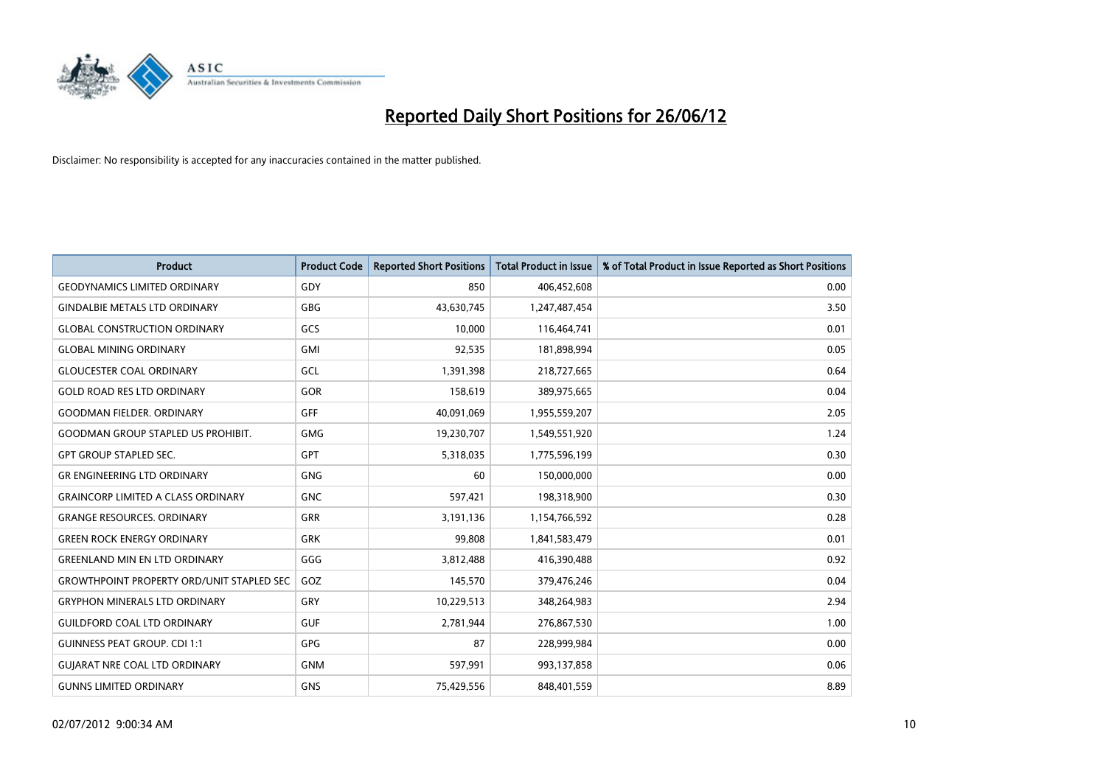

| <b>Product</b>                                   | <b>Product Code</b> | <b>Reported Short Positions</b> | <b>Total Product in Issue</b> | % of Total Product in Issue Reported as Short Positions |
|--------------------------------------------------|---------------------|---------------------------------|-------------------------------|---------------------------------------------------------|
| <b>GEODYNAMICS LIMITED ORDINARY</b>              | GDY                 | 850                             | 406,452,608                   | 0.00                                                    |
| <b>GINDALBIE METALS LTD ORDINARY</b>             | <b>GBG</b>          | 43,630,745                      | 1,247,487,454                 | 3.50                                                    |
| <b>GLOBAL CONSTRUCTION ORDINARY</b>              | GCS                 | 10,000                          | 116,464,741                   | 0.01                                                    |
| <b>GLOBAL MINING ORDINARY</b>                    | GMI                 | 92,535                          | 181,898,994                   | 0.05                                                    |
| <b>GLOUCESTER COAL ORDINARY</b>                  | GCL                 | 1,391,398                       | 218,727,665                   | 0.64                                                    |
| <b>GOLD ROAD RES LTD ORDINARY</b>                | <b>GOR</b>          | 158,619                         | 389,975,665                   | 0.04                                                    |
| <b>GOODMAN FIELDER, ORDINARY</b>                 | <b>GFF</b>          | 40,091,069                      | 1,955,559,207                 | 2.05                                                    |
| <b>GOODMAN GROUP STAPLED US PROHIBIT.</b>        | <b>GMG</b>          | 19,230,707                      | 1,549,551,920                 | 1.24                                                    |
| <b>GPT GROUP STAPLED SEC.</b>                    | GPT                 | 5,318,035                       | 1,775,596,199                 | 0.30                                                    |
| <b>GR ENGINEERING LTD ORDINARY</b>               | <b>GNG</b>          | 60                              | 150,000,000                   | 0.00                                                    |
| <b>GRAINCORP LIMITED A CLASS ORDINARY</b>        | <b>GNC</b>          | 597,421                         | 198,318,900                   | 0.30                                                    |
| <b>GRANGE RESOURCES, ORDINARY</b>                | <b>GRR</b>          | 3,191,136                       | 1,154,766,592                 | 0.28                                                    |
| <b>GREEN ROCK ENERGY ORDINARY</b>                | <b>GRK</b>          | 99,808                          | 1,841,583,479                 | 0.01                                                    |
| <b>GREENLAND MIN EN LTD ORDINARY</b>             | GGG                 | 3,812,488                       | 416,390,488                   | 0.92                                                    |
| <b>GROWTHPOINT PROPERTY ORD/UNIT STAPLED SEC</b> | GOZ                 | 145,570                         | 379,476,246                   | 0.04                                                    |
| <b>GRYPHON MINERALS LTD ORDINARY</b>             | GRY                 | 10,229,513                      | 348,264,983                   | 2.94                                                    |
| <b>GUILDFORD COAL LTD ORDINARY</b>               | <b>GUF</b>          | 2,781,944                       | 276,867,530                   | 1.00                                                    |
| <b>GUINNESS PEAT GROUP. CDI 1:1</b>              | GPG                 | 87                              | 228,999,984                   | 0.00                                                    |
| <b>GUIARAT NRE COAL LTD ORDINARY</b>             | <b>GNM</b>          | 597,991                         | 993,137,858                   | 0.06                                                    |
| <b>GUNNS LIMITED ORDINARY</b>                    | <b>GNS</b>          | 75,429,556                      | 848,401,559                   | 8.89                                                    |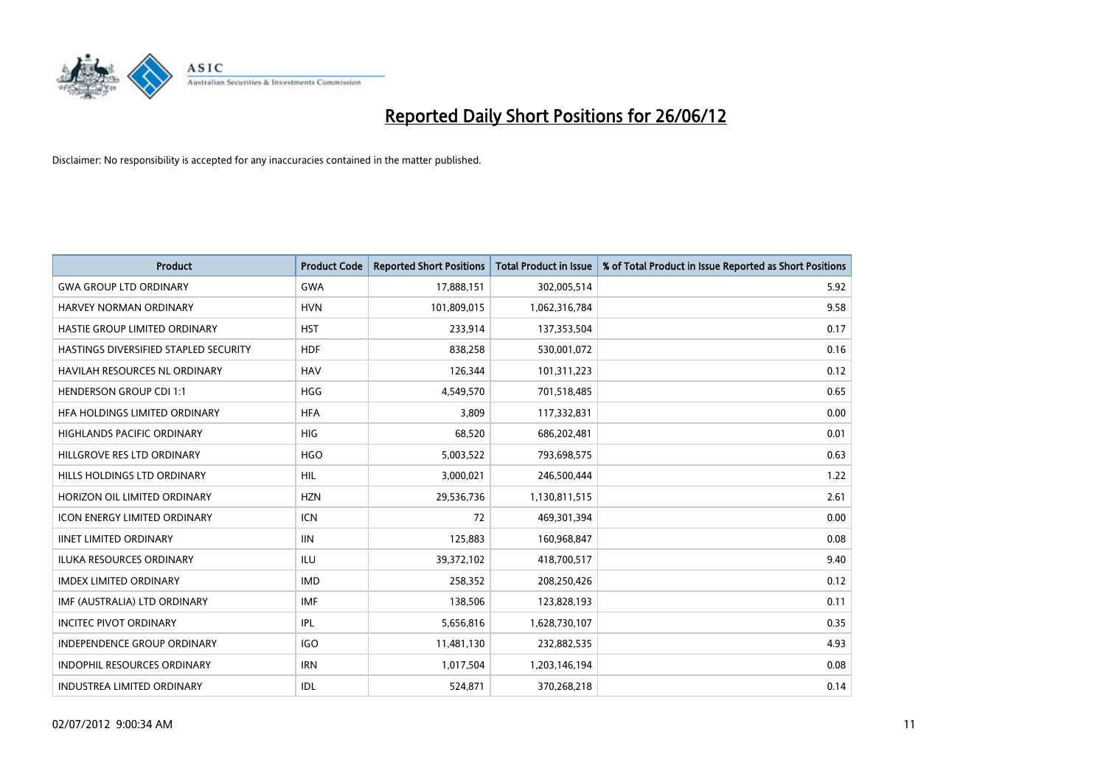

| <b>Product</b>                        | <b>Product Code</b> | <b>Reported Short Positions</b> | <b>Total Product in Issue</b> | % of Total Product in Issue Reported as Short Positions |
|---------------------------------------|---------------------|---------------------------------|-------------------------------|---------------------------------------------------------|
| <b>GWA GROUP LTD ORDINARY</b>         | <b>GWA</b>          | 17,888,151                      | 302,005,514                   | 5.92                                                    |
| <b>HARVEY NORMAN ORDINARY</b>         | <b>HVN</b>          | 101,809,015                     | 1,062,316,784                 | 9.58                                                    |
| HASTIE GROUP LIMITED ORDINARY         | <b>HST</b>          | 233,914                         | 137,353,504                   | 0.17                                                    |
| HASTINGS DIVERSIFIED STAPLED SECURITY | <b>HDF</b>          | 838,258                         | 530,001,072                   | 0.16                                                    |
| HAVILAH RESOURCES NL ORDINARY         | <b>HAV</b>          | 126,344                         | 101,311,223                   | 0.12                                                    |
| <b>HENDERSON GROUP CDI 1:1</b>        | <b>HGG</b>          | 4,549,570                       | 701,518,485                   | 0.65                                                    |
| HFA HOLDINGS LIMITED ORDINARY         | <b>HFA</b>          | 3.809                           | 117,332,831                   | 0.00                                                    |
| <b>HIGHLANDS PACIFIC ORDINARY</b>     | <b>HIG</b>          | 68,520                          | 686,202,481                   | 0.01                                                    |
| HILLGROVE RES LTD ORDINARY            | <b>HGO</b>          | 5,003,522                       | 793,698,575                   | 0.63                                                    |
| HILLS HOLDINGS LTD ORDINARY           | <b>HIL</b>          | 3,000,021                       | 246,500,444                   | 1.22                                                    |
| HORIZON OIL LIMITED ORDINARY          | <b>HZN</b>          | 29,536,736                      | 1,130,811,515                 | 2.61                                                    |
| <b>ICON ENERGY LIMITED ORDINARY</b>   | <b>ICN</b>          | 72                              | 469,301,394                   | 0.00                                                    |
| <b>IINET LIMITED ORDINARY</b>         | <b>IIN</b>          | 125,883                         | 160,968,847                   | 0.08                                                    |
| <b>ILUKA RESOURCES ORDINARY</b>       | <b>ILU</b>          | 39,372,102                      | 418,700,517                   | 9.40                                                    |
| <b>IMDEX LIMITED ORDINARY</b>         | <b>IMD</b>          | 258,352                         | 208,250,426                   | 0.12                                                    |
| IMF (AUSTRALIA) LTD ORDINARY          | <b>IMF</b>          | 138,506                         | 123,828,193                   | 0.11                                                    |
| <b>INCITEC PIVOT ORDINARY</b>         | IPL                 | 5,656,816                       | 1,628,730,107                 | 0.35                                                    |
| INDEPENDENCE GROUP ORDINARY           | <b>IGO</b>          | 11,481,130                      | 232,882,535                   | 4.93                                                    |
| <b>INDOPHIL RESOURCES ORDINARY</b>    | <b>IRN</b>          | 1,017,504                       | 1,203,146,194                 | 0.08                                                    |
| <b>INDUSTREA LIMITED ORDINARY</b>     | <b>IDL</b>          | 524,871                         | 370,268,218                   | 0.14                                                    |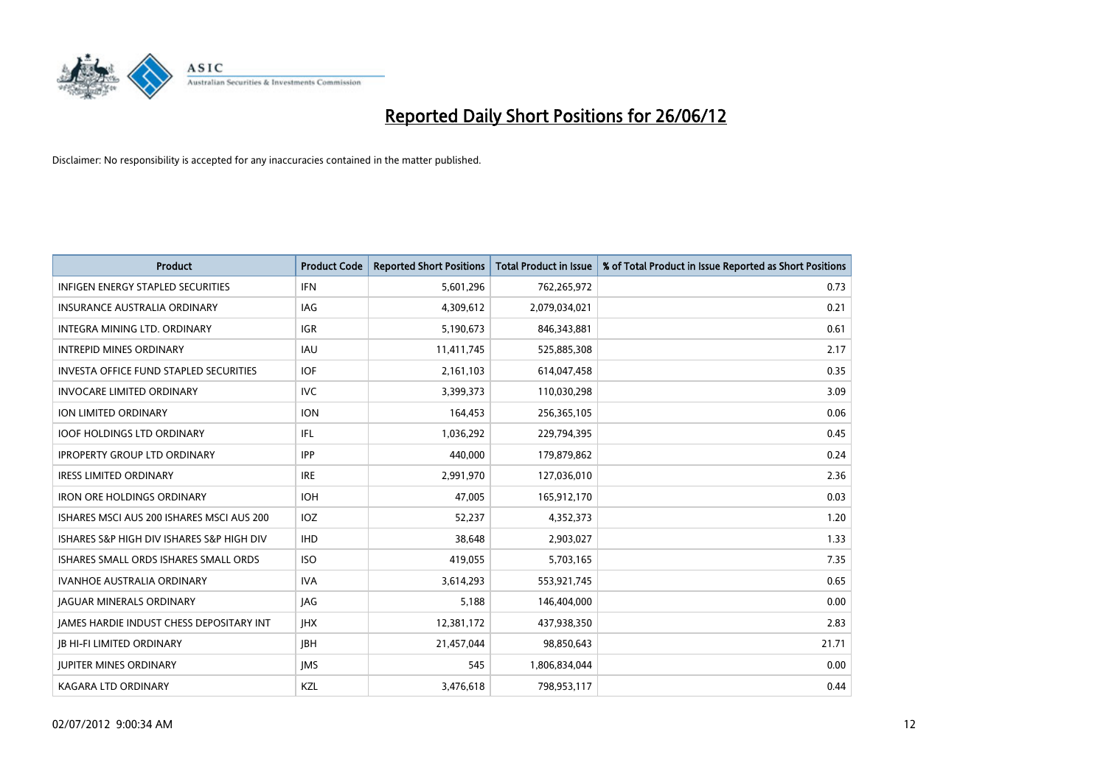

| <b>Product</b>                                | <b>Product Code</b> | <b>Reported Short Positions</b> | <b>Total Product in Issue</b> | % of Total Product in Issue Reported as Short Positions |
|-----------------------------------------------|---------------------|---------------------------------|-------------------------------|---------------------------------------------------------|
| <b>INFIGEN ENERGY STAPLED SECURITIES</b>      | <b>IFN</b>          | 5,601,296                       | 762,265,972                   | 0.73                                                    |
| <b>INSURANCE AUSTRALIA ORDINARY</b>           | IAG                 | 4,309,612                       | 2,079,034,021                 | 0.21                                                    |
| <b>INTEGRA MINING LTD, ORDINARY</b>           | <b>IGR</b>          | 5,190,673                       | 846,343,881                   | 0.61                                                    |
| <b>INTREPID MINES ORDINARY</b>                | <b>IAU</b>          | 11,411,745                      | 525,885,308                   | 2.17                                                    |
| <b>INVESTA OFFICE FUND STAPLED SECURITIES</b> | <b>IOF</b>          | 2,161,103                       | 614,047,458                   | 0.35                                                    |
| <b>INVOCARE LIMITED ORDINARY</b>              | <b>IVC</b>          | 3,399,373                       | 110,030,298                   | 3.09                                                    |
| ION LIMITED ORDINARY                          | <b>ION</b>          | 164,453                         | 256,365,105                   | 0.06                                                    |
| <b>IOOF HOLDINGS LTD ORDINARY</b>             | IFL                 | 1,036,292                       | 229,794,395                   | 0.45                                                    |
| <b>IPROPERTY GROUP LTD ORDINARY</b>           | <b>IPP</b>          | 440,000                         | 179,879,862                   | 0.24                                                    |
| <b>IRESS LIMITED ORDINARY</b>                 | <b>IRE</b>          | 2,991,970                       | 127,036,010                   | 2.36                                                    |
| <b>IRON ORE HOLDINGS ORDINARY</b>             | <b>IOH</b>          | 47,005                          | 165,912,170                   | 0.03                                                    |
| ISHARES MSCI AUS 200 ISHARES MSCI AUS 200     | <b>IOZ</b>          | 52,237                          | 4,352,373                     | 1.20                                                    |
| ISHARES S&P HIGH DIV ISHARES S&P HIGH DIV     | <b>IHD</b>          | 38,648                          | 2,903,027                     | 1.33                                                    |
| ISHARES SMALL ORDS ISHARES SMALL ORDS         | <b>ISO</b>          | 419,055                         | 5,703,165                     | 7.35                                                    |
| <b>IVANHOE AUSTRALIA ORDINARY</b>             | <b>IVA</b>          | 3,614,293                       | 553,921,745                   | 0.65                                                    |
| <b>JAGUAR MINERALS ORDINARY</b>               | <b>JAG</b>          | 5,188                           | 146,404,000                   | 0.00                                                    |
| JAMES HARDIE INDUST CHESS DEPOSITARY INT      | <b>IHX</b>          | 12,381,172                      | 437,938,350                   | 2.83                                                    |
| <b>JB HI-FI LIMITED ORDINARY</b>              | <b>IBH</b>          | 21,457,044                      | 98,850,643                    | 21.71                                                   |
| <b>IUPITER MINES ORDINARY</b>                 | <b>IMS</b>          | 545                             | 1,806,834,044                 | 0.00                                                    |
| <b>KAGARA LTD ORDINARY</b>                    | KZL                 | 3,476,618                       | 798,953,117                   | 0.44                                                    |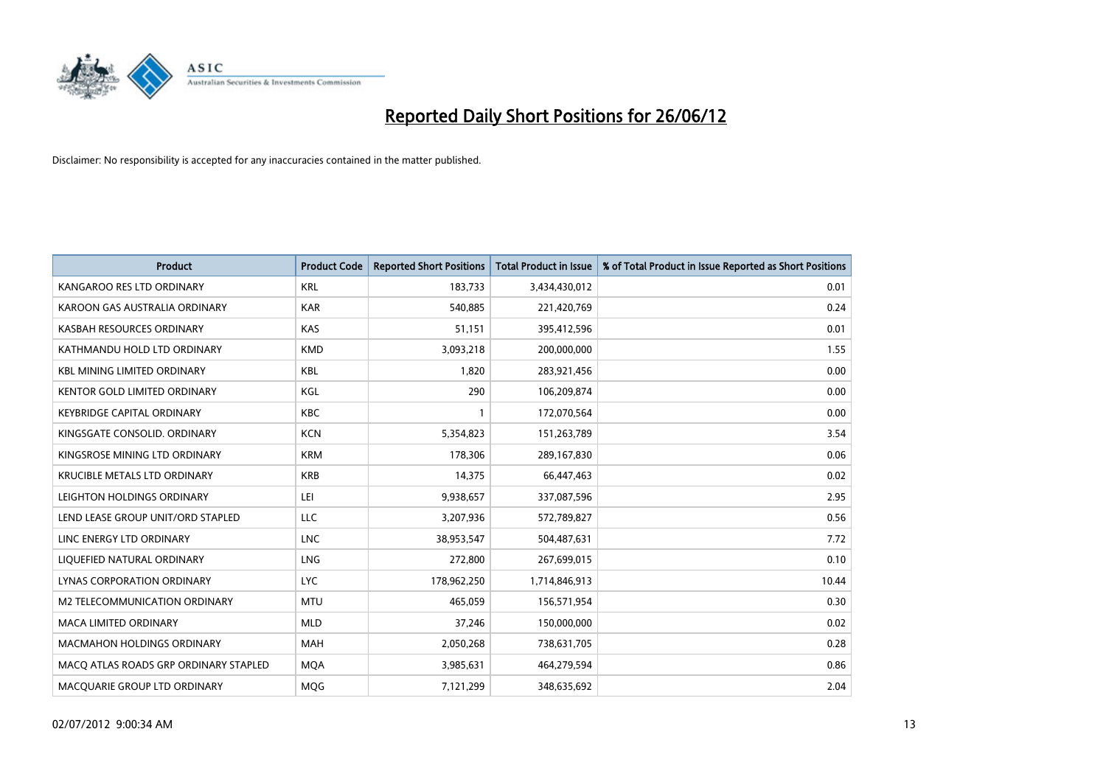

| <b>Product</b>                        | <b>Product Code</b> | <b>Reported Short Positions</b> | <b>Total Product in Issue</b> | % of Total Product in Issue Reported as Short Positions |
|---------------------------------------|---------------------|---------------------------------|-------------------------------|---------------------------------------------------------|
| KANGAROO RES LTD ORDINARY             | <b>KRL</b>          | 183,733                         | 3,434,430,012                 | 0.01                                                    |
| KAROON GAS AUSTRALIA ORDINARY         | <b>KAR</b>          | 540,885                         | 221,420,769                   | 0.24                                                    |
| KASBAH RESOURCES ORDINARY             | <b>KAS</b>          | 51,151                          | 395,412,596                   | 0.01                                                    |
| KATHMANDU HOLD LTD ORDINARY           | <b>KMD</b>          | 3,093,218                       | 200,000,000                   | 1.55                                                    |
| <b>KBL MINING LIMITED ORDINARY</b>    | <b>KBL</b>          | 1,820                           | 283,921,456                   | 0.00                                                    |
| KENTOR GOLD LIMITED ORDINARY          | KGL                 | 290                             | 106,209,874                   | 0.00                                                    |
| <b>KEYBRIDGE CAPITAL ORDINARY</b>     | <b>KBC</b>          |                                 | 172,070,564                   | 0.00                                                    |
| KINGSGATE CONSOLID. ORDINARY          | <b>KCN</b>          | 5,354,823                       | 151,263,789                   | 3.54                                                    |
| KINGSROSE MINING LTD ORDINARY         | <b>KRM</b>          | 178.306                         | 289,167,830                   | 0.06                                                    |
| <b>KRUCIBLE METALS LTD ORDINARY</b>   | <b>KRB</b>          | 14,375                          | 66,447,463                    | 0.02                                                    |
| LEIGHTON HOLDINGS ORDINARY            | LEI                 | 9,938,657                       | 337,087,596                   | 2.95                                                    |
| LEND LEASE GROUP UNIT/ORD STAPLED     | LLC                 | 3,207,936                       | 572,789,827                   | 0.56                                                    |
| LINC ENERGY LTD ORDINARY              | <b>LNC</b>          | 38,953,547                      | 504,487,631                   | 7.72                                                    |
| LIQUEFIED NATURAL ORDINARY            | LNG                 | 272,800                         | 267,699,015                   | 0.10                                                    |
| <b>LYNAS CORPORATION ORDINARY</b>     | <b>LYC</b>          | 178,962,250                     | 1,714,846,913                 | 10.44                                                   |
| M2 TELECOMMUNICATION ORDINARY         | <b>MTU</b>          | 465,059                         | 156,571,954                   | 0.30                                                    |
| MACA LIMITED ORDINARY                 | <b>MLD</b>          | 37,246                          | 150,000,000                   | 0.02                                                    |
| <b>MACMAHON HOLDINGS ORDINARY</b>     | <b>MAH</b>          | 2,050,268                       | 738,631,705                   | 0.28                                                    |
| MACO ATLAS ROADS GRP ORDINARY STAPLED | <b>MOA</b>          | 3,985,631                       | 464,279,594                   | 0.86                                                    |
| MACQUARIE GROUP LTD ORDINARY          | <b>MOG</b>          | 7,121,299                       | 348,635,692                   | 2.04                                                    |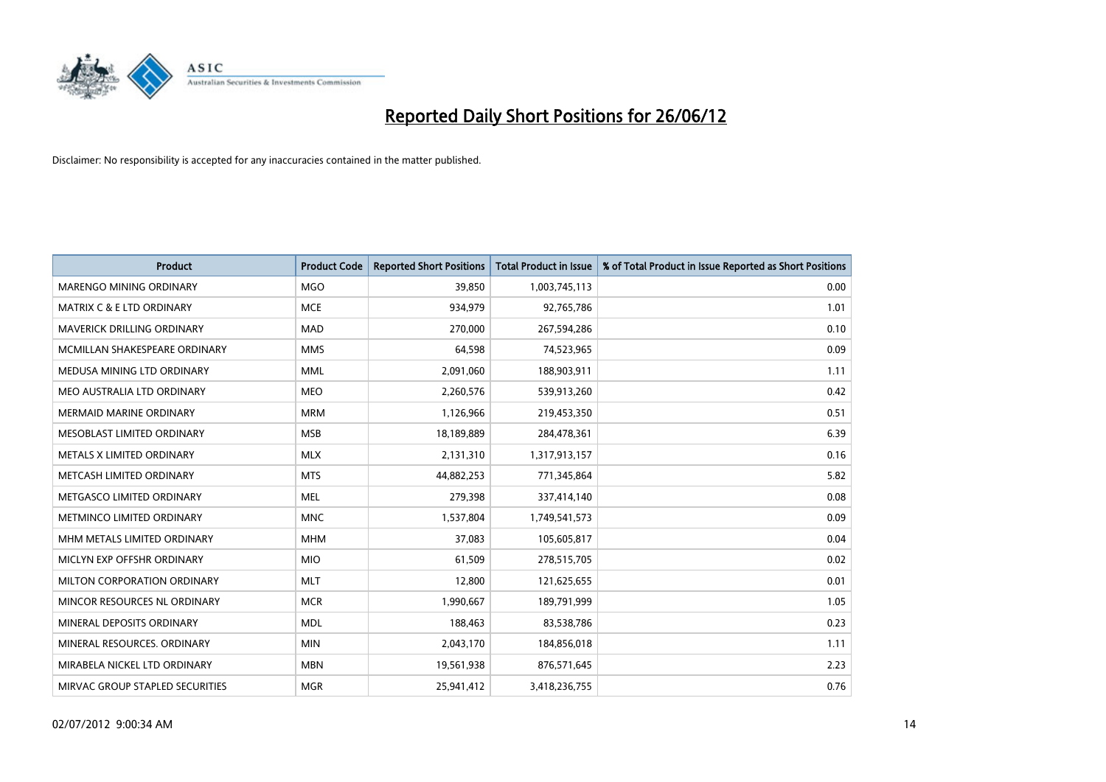

| <b>Product</b>                       | <b>Product Code</b> | <b>Reported Short Positions</b> | <b>Total Product in Issue</b> | % of Total Product in Issue Reported as Short Positions |
|--------------------------------------|---------------------|---------------------------------|-------------------------------|---------------------------------------------------------|
| MARENGO MINING ORDINARY              | <b>MGO</b>          | 39,850                          | 1,003,745,113                 | 0.00                                                    |
| <b>MATRIX C &amp; E LTD ORDINARY</b> | <b>MCE</b>          | 934,979                         | 92,765,786                    | 1.01                                                    |
| <b>MAVERICK DRILLING ORDINARY</b>    | <b>MAD</b>          | 270,000                         | 267,594,286                   | 0.10                                                    |
| MCMILLAN SHAKESPEARE ORDINARY        | <b>MMS</b>          | 64,598                          | 74,523,965                    | 0.09                                                    |
| MEDUSA MINING LTD ORDINARY           | <b>MML</b>          | 2,091,060                       | 188,903,911                   | 1.11                                                    |
| MEO AUSTRALIA LTD ORDINARY           | <b>MEO</b>          | 2,260,576                       | 539,913,260                   | 0.42                                                    |
| <b>MERMAID MARINE ORDINARY</b>       | <b>MRM</b>          | 1,126,966                       | 219,453,350                   | 0.51                                                    |
| MESOBLAST LIMITED ORDINARY           | <b>MSB</b>          | 18,189,889                      | 284,478,361                   | 6.39                                                    |
| METALS X LIMITED ORDINARY            | <b>MLX</b>          | 2,131,310                       | 1,317,913,157                 | 0.16                                                    |
| METCASH LIMITED ORDINARY             | <b>MTS</b>          | 44,882,253                      | 771,345,864                   | 5.82                                                    |
| METGASCO LIMITED ORDINARY            | MEL                 | 279,398                         | 337,414,140                   | 0.08                                                    |
| METMINCO LIMITED ORDINARY            | <b>MNC</b>          | 1,537,804                       | 1,749,541,573                 | 0.09                                                    |
| MHM METALS LIMITED ORDINARY          | <b>MHM</b>          | 37,083                          | 105,605,817                   | 0.04                                                    |
| MICLYN EXP OFFSHR ORDINARY           | <b>MIO</b>          | 61,509                          | 278,515,705                   | 0.02                                                    |
| MILTON CORPORATION ORDINARY          | <b>MLT</b>          | 12,800                          | 121,625,655                   | 0.01                                                    |
| MINCOR RESOURCES NL ORDINARY         | <b>MCR</b>          | 1,990,667                       | 189,791,999                   | 1.05                                                    |
| MINERAL DEPOSITS ORDINARY            | <b>MDL</b>          | 188,463                         | 83,538,786                    | 0.23                                                    |
| MINERAL RESOURCES. ORDINARY          | <b>MIN</b>          | 2,043,170                       | 184,856,018                   | 1.11                                                    |
| MIRABELA NICKEL LTD ORDINARY         | <b>MBN</b>          | 19,561,938                      | 876,571,645                   | 2.23                                                    |
| MIRVAC GROUP STAPLED SECURITIES      | <b>MGR</b>          | 25,941,412                      | 3,418,236,755                 | 0.76                                                    |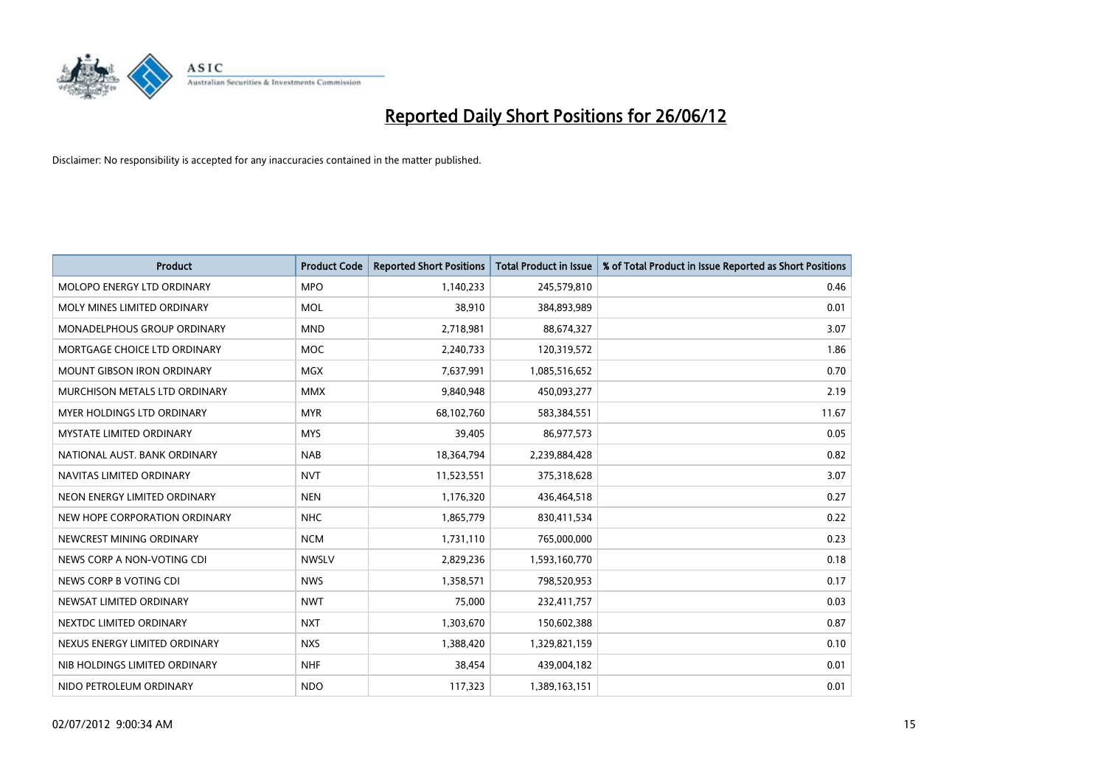

| <b>Product</b>                    | <b>Product Code</b> | <b>Reported Short Positions</b> | <b>Total Product in Issue</b> | % of Total Product in Issue Reported as Short Positions |
|-----------------------------------|---------------------|---------------------------------|-------------------------------|---------------------------------------------------------|
| MOLOPO ENERGY LTD ORDINARY        | <b>MPO</b>          | 1,140,233                       | 245,579,810                   | 0.46                                                    |
| MOLY MINES LIMITED ORDINARY       | <b>MOL</b>          | 38,910                          | 384,893,989                   | 0.01                                                    |
| MONADELPHOUS GROUP ORDINARY       | <b>MND</b>          | 2,718,981                       | 88,674,327                    | 3.07                                                    |
| MORTGAGE CHOICE LTD ORDINARY      | <b>MOC</b>          | 2,240,733                       | 120,319,572                   | 1.86                                                    |
| <b>MOUNT GIBSON IRON ORDINARY</b> | <b>MGX</b>          | 7,637,991                       | 1,085,516,652                 | 0.70                                                    |
| MURCHISON METALS LTD ORDINARY     | <b>MMX</b>          | 9,840,948                       | 450,093,277                   | 2.19                                                    |
| MYER HOLDINGS LTD ORDINARY        | <b>MYR</b>          | 68,102,760                      | 583,384,551                   | 11.67                                                   |
| MYSTATE LIMITED ORDINARY          | <b>MYS</b>          | 39,405                          | 86,977,573                    | 0.05                                                    |
| NATIONAL AUST, BANK ORDINARY      | <b>NAB</b>          | 18,364,794                      | 2,239,884,428                 | 0.82                                                    |
| NAVITAS LIMITED ORDINARY          | <b>NVT</b>          | 11,523,551                      | 375,318,628                   | 3.07                                                    |
| NEON ENERGY LIMITED ORDINARY      | <b>NEN</b>          | 1,176,320                       | 436,464,518                   | 0.27                                                    |
| NEW HOPE CORPORATION ORDINARY     | <b>NHC</b>          | 1,865,779                       | 830,411,534                   | 0.22                                                    |
| NEWCREST MINING ORDINARY          | <b>NCM</b>          | 1,731,110                       | 765,000,000                   | 0.23                                                    |
| NEWS CORP A NON-VOTING CDI        | <b>NWSLV</b>        | 2,829,236                       | 1,593,160,770                 | 0.18                                                    |
| NEWS CORP B VOTING CDI            | <b>NWS</b>          | 1,358,571                       | 798,520,953                   | 0.17                                                    |
| NEWSAT LIMITED ORDINARY           | <b>NWT</b>          | 75,000                          | 232,411,757                   | 0.03                                                    |
| NEXTDC LIMITED ORDINARY           | <b>NXT</b>          | 1,303,670                       | 150,602,388                   | 0.87                                                    |
| NEXUS ENERGY LIMITED ORDINARY     | <b>NXS</b>          | 1,388,420                       | 1,329,821,159                 | 0.10                                                    |
| NIB HOLDINGS LIMITED ORDINARY     | <b>NHF</b>          | 38,454                          | 439,004,182                   | 0.01                                                    |
| NIDO PETROLEUM ORDINARY           | <b>NDO</b>          | 117,323                         | 1,389,163,151                 | 0.01                                                    |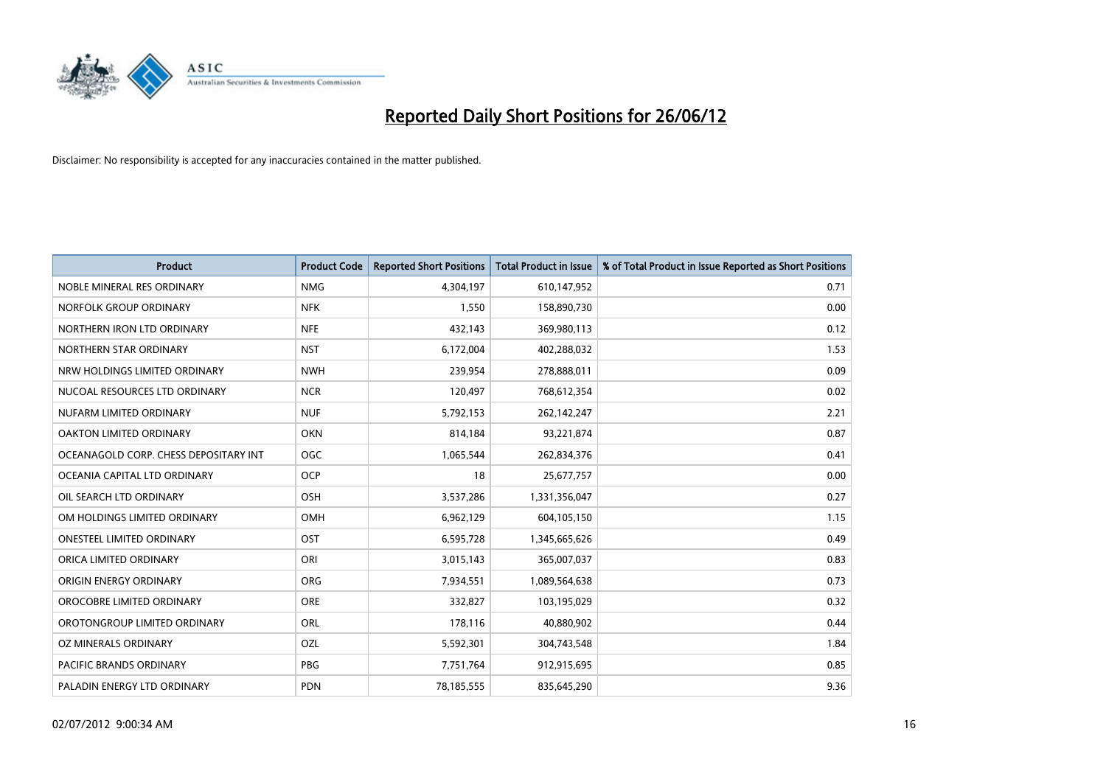

| <b>Product</b>                        | <b>Product Code</b> | <b>Reported Short Positions</b> | <b>Total Product in Issue</b> | % of Total Product in Issue Reported as Short Positions |
|---------------------------------------|---------------------|---------------------------------|-------------------------------|---------------------------------------------------------|
| NOBLE MINERAL RES ORDINARY            | <b>NMG</b>          | 4,304,197                       | 610,147,952                   | 0.71                                                    |
| NORFOLK GROUP ORDINARY                | <b>NFK</b>          | 1,550                           | 158,890,730                   | 0.00                                                    |
| NORTHERN IRON LTD ORDINARY            | <b>NFE</b>          | 432,143                         | 369,980,113                   | 0.12                                                    |
| NORTHERN STAR ORDINARY                | <b>NST</b>          | 6,172,004                       | 402,288,032                   | 1.53                                                    |
| NRW HOLDINGS LIMITED ORDINARY         | <b>NWH</b>          | 239,954                         | 278,888,011                   | 0.09                                                    |
| NUCOAL RESOURCES LTD ORDINARY         | <b>NCR</b>          | 120,497                         | 768,612,354                   | 0.02                                                    |
| NUFARM LIMITED ORDINARY               | <b>NUF</b>          | 5,792,153                       | 262,142,247                   | 2.21                                                    |
| OAKTON LIMITED ORDINARY               | <b>OKN</b>          | 814,184                         | 93,221,874                    | 0.87                                                    |
| OCEANAGOLD CORP. CHESS DEPOSITARY INT | <b>OGC</b>          | 1,065,544                       | 262,834,376                   | 0.41                                                    |
| OCEANIA CAPITAL LTD ORDINARY          | <b>OCP</b>          | 18                              | 25,677,757                    | 0.00                                                    |
| OIL SEARCH LTD ORDINARY               | OSH                 | 3,537,286                       | 1,331,356,047                 | 0.27                                                    |
| OM HOLDINGS LIMITED ORDINARY          | <b>OMH</b>          | 6,962,129                       | 604,105,150                   | 1.15                                                    |
| <b>ONESTEEL LIMITED ORDINARY</b>      | OST                 | 6,595,728                       | 1,345,665,626                 | 0.49                                                    |
| ORICA LIMITED ORDINARY                | ORI                 | 3,015,143                       | 365,007,037                   | 0.83                                                    |
| ORIGIN ENERGY ORDINARY                | <b>ORG</b>          | 7,934,551                       | 1,089,564,638                 | 0.73                                                    |
| OROCOBRE LIMITED ORDINARY             | <b>ORE</b>          | 332,827                         | 103,195,029                   | 0.32                                                    |
| OROTONGROUP LIMITED ORDINARY          | ORL                 | 178,116                         | 40,880,902                    | 0.44                                                    |
| <b>OZ MINERALS ORDINARY</b>           | OZL                 | 5,592,301                       | 304,743,548                   | 1.84                                                    |
| <b>PACIFIC BRANDS ORDINARY</b>        | <b>PBG</b>          | 7,751,764                       | 912,915,695                   | 0.85                                                    |
| PALADIN ENERGY LTD ORDINARY           | <b>PDN</b>          | 78,185,555                      | 835,645,290                   | 9.36                                                    |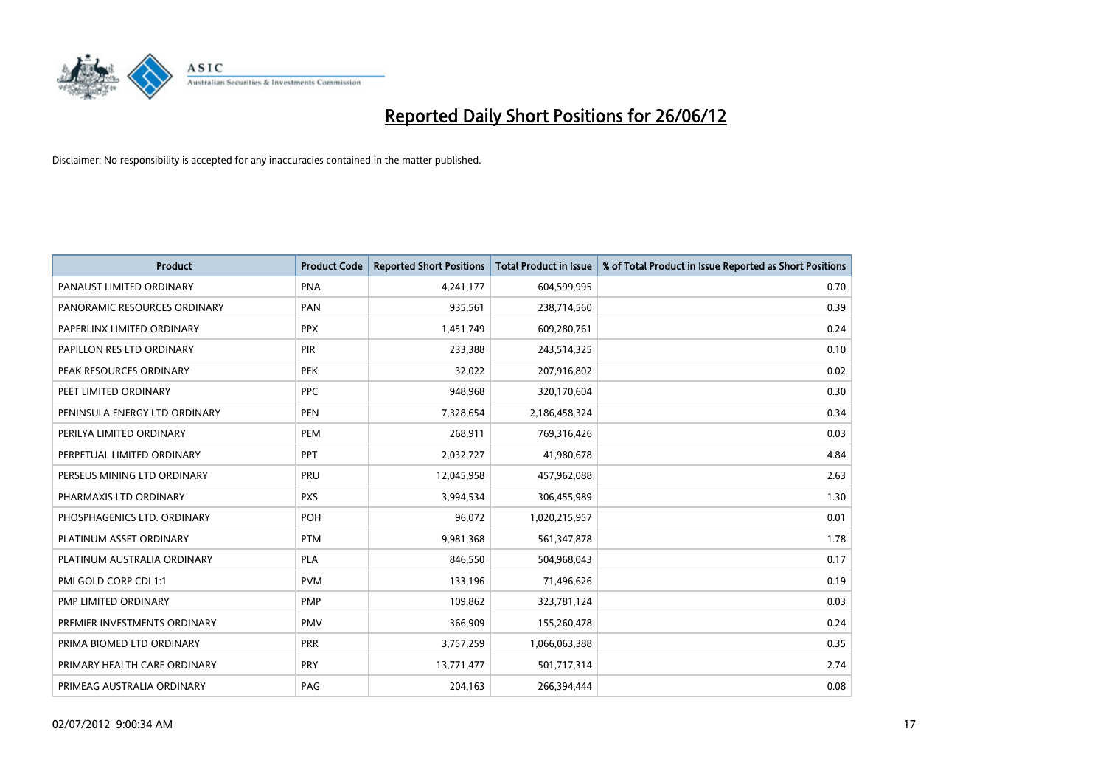

| <b>Product</b>                | <b>Product Code</b> | <b>Reported Short Positions</b> | <b>Total Product in Issue</b> | % of Total Product in Issue Reported as Short Positions |
|-------------------------------|---------------------|---------------------------------|-------------------------------|---------------------------------------------------------|
| PANAUST LIMITED ORDINARY      | <b>PNA</b>          | 4,241,177                       | 604,599,995                   | 0.70                                                    |
| PANORAMIC RESOURCES ORDINARY  | <b>PAN</b>          | 935,561                         | 238,714,560                   | 0.39                                                    |
| PAPERLINX LIMITED ORDINARY    | <b>PPX</b>          | 1,451,749                       | 609,280,761                   | 0.24                                                    |
| PAPILLON RES LTD ORDINARY     | <b>PIR</b>          | 233,388                         | 243,514,325                   | 0.10                                                    |
| PEAK RESOURCES ORDINARY       | <b>PEK</b>          | 32,022                          | 207,916,802                   | 0.02                                                    |
| PEET LIMITED ORDINARY         | <b>PPC</b>          | 948,968                         | 320,170,604                   | 0.30                                                    |
| PENINSULA ENERGY LTD ORDINARY | <b>PEN</b>          | 7,328,654                       | 2,186,458,324                 | 0.34                                                    |
| PERILYA LIMITED ORDINARY      | PEM                 | 268,911                         | 769,316,426                   | 0.03                                                    |
| PERPETUAL LIMITED ORDINARY    | PPT                 | 2,032,727                       | 41,980,678                    | 4.84                                                    |
| PERSEUS MINING LTD ORDINARY   | PRU                 | 12,045,958                      | 457,962,088                   | 2.63                                                    |
| PHARMAXIS LTD ORDINARY        | <b>PXS</b>          | 3,994,534                       | 306,455,989                   | 1.30                                                    |
| PHOSPHAGENICS LTD. ORDINARY   | POH                 | 96,072                          | 1,020,215,957                 | 0.01                                                    |
| PLATINUM ASSET ORDINARY       | <b>PTM</b>          | 9,981,368                       | 561,347,878                   | 1.78                                                    |
| PLATINUM AUSTRALIA ORDINARY   | <b>PLA</b>          | 846,550                         | 504,968,043                   | 0.17                                                    |
| PMI GOLD CORP CDI 1:1         | <b>PVM</b>          | 133,196                         | 71,496,626                    | 0.19                                                    |
| PMP LIMITED ORDINARY          | <b>PMP</b>          | 109,862                         | 323,781,124                   | 0.03                                                    |
| PREMIER INVESTMENTS ORDINARY  | <b>PMV</b>          | 366,909                         | 155,260,478                   | 0.24                                                    |
| PRIMA BIOMED LTD ORDINARY     | <b>PRR</b>          | 3,757,259                       | 1,066,063,388                 | 0.35                                                    |
| PRIMARY HEALTH CARE ORDINARY  | <b>PRY</b>          | 13,771,477                      | 501,717,314                   | 2.74                                                    |
| PRIMEAG AUSTRALIA ORDINARY    | PAG                 | 204,163                         | 266,394,444                   | 0.08                                                    |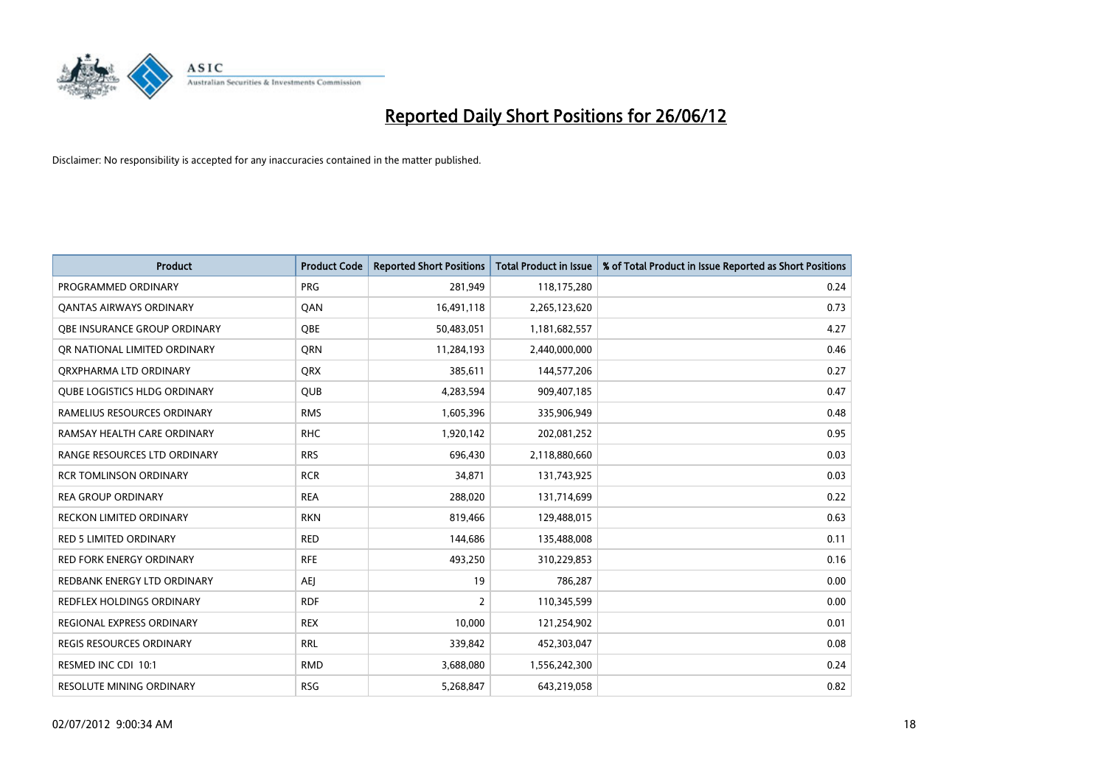

| <b>Product</b>                      | <b>Product Code</b> | <b>Reported Short Positions</b> | <b>Total Product in Issue</b> | % of Total Product in Issue Reported as Short Positions |
|-------------------------------------|---------------------|---------------------------------|-------------------------------|---------------------------------------------------------|
| PROGRAMMED ORDINARY                 | <b>PRG</b>          | 281,949                         | 118,175,280                   | 0.24                                                    |
| <b>QANTAS AIRWAYS ORDINARY</b>      | QAN                 | 16,491,118                      | 2,265,123,620                 | 0.73                                                    |
| <b>OBE INSURANCE GROUP ORDINARY</b> | <b>OBE</b>          | 50,483,051                      | 1,181,682,557                 | 4.27                                                    |
| OR NATIONAL LIMITED ORDINARY        | <b>ORN</b>          | 11,284,193                      | 2,440,000,000                 | 0.46                                                    |
| ORXPHARMA LTD ORDINARY              | <b>QRX</b>          | 385,611                         | 144,577,206                   | 0.27                                                    |
| QUBE LOGISTICS HLDG ORDINARY        | <b>QUB</b>          | 4,283,594                       | 909,407,185                   | 0.47                                                    |
| RAMELIUS RESOURCES ORDINARY         | <b>RMS</b>          | 1,605,396                       | 335,906,949                   | 0.48                                                    |
| RAMSAY HEALTH CARE ORDINARY         | <b>RHC</b>          | 1,920,142                       | 202,081,252                   | 0.95                                                    |
| RANGE RESOURCES LTD ORDINARY        | <b>RRS</b>          | 696,430                         | 2,118,880,660                 | 0.03                                                    |
| <b>RCR TOMLINSON ORDINARY</b>       | <b>RCR</b>          | 34,871                          | 131,743,925                   | 0.03                                                    |
| <b>REA GROUP ORDINARY</b>           | <b>REA</b>          | 288,020                         | 131,714,699                   | 0.22                                                    |
| <b>RECKON LIMITED ORDINARY</b>      | <b>RKN</b>          | 819,466                         | 129,488,015                   | 0.63                                                    |
| <b>RED 5 LIMITED ORDINARY</b>       | <b>RED</b>          | 144,686                         | 135,488,008                   | 0.11                                                    |
| <b>RED FORK ENERGY ORDINARY</b>     | <b>RFE</b>          | 493,250                         | 310,229,853                   | 0.16                                                    |
| REDBANK ENERGY LTD ORDINARY         | <b>AEJ</b>          | 19                              | 786,287                       | 0.00                                                    |
| REDFLEX HOLDINGS ORDINARY           | <b>RDF</b>          | $\overline{2}$                  | 110,345,599                   | 0.00                                                    |
| REGIONAL EXPRESS ORDINARY           | <b>REX</b>          | 10,000                          | 121,254,902                   | 0.01                                                    |
| <b>REGIS RESOURCES ORDINARY</b>     | <b>RRL</b>          | 339,842                         | 452,303,047                   | 0.08                                                    |
| RESMED INC CDI 10:1                 | <b>RMD</b>          | 3,688,080                       | 1,556,242,300                 | 0.24                                                    |
| <b>RESOLUTE MINING ORDINARY</b>     | <b>RSG</b>          | 5,268,847                       | 643,219,058                   | 0.82                                                    |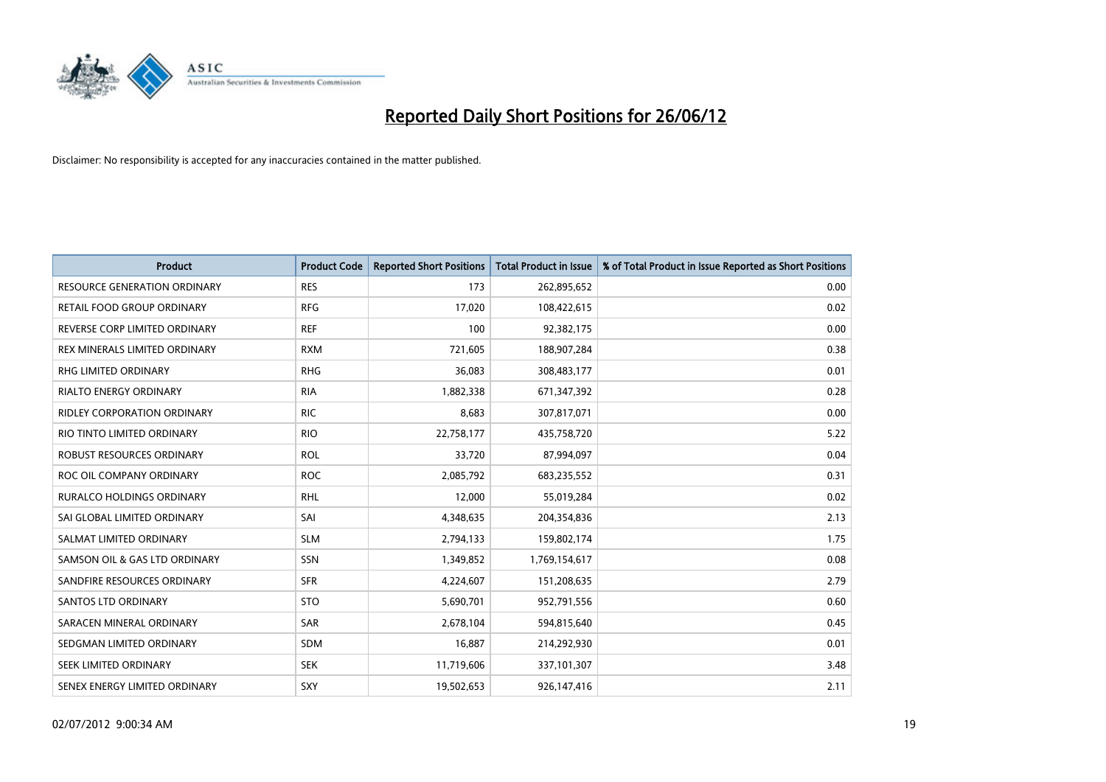

| <b>Product</b>                      | <b>Product Code</b> | <b>Reported Short Positions</b> | <b>Total Product in Issue</b> | % of Total Product in Issue Reported as Short Positions |
|-------------------------------------|---------------------|---------------------------------|-------------------------------|---------------------------------------------------------|
| <b>RESOURCE GENERATION ORDINARY</b> | <b>RES</b>          | 173                             | 262,895,652                   | 0.00                                                    |
| RETAIL FOOD GROUP ORDINARY          | <b>RFG</b>          | 17,020                          | 108,422,615                   | 0.02                                                    |
| REVERSE CORP LIMITED ORDINARY       | <b>REF</b>          | 100                             | 92,382,175                    | 0.00                                                    |
| REX MINERALS LIMITED ORDINARY       | <b>RXM</b>          | 721,605                         | 188,907,284                   | 0.38                                                    |
| RHG LIMITED ORDINARY                | <b>RHG</b>          | 36,083                          | 308,483,177                   | 0.01                                                    |
| RIALTO ENERGY ORDINARY              | <b>RIA</b>          | 1,882,338                       | 671,347,392                   | 0.28                                                    |
| <b>RIDLEY CORPORATION ORDINARY</b>  | <b>RIC</b>          | 8,683                           | 307,817,071                   | 0.00                                                    |
| RIO TINTO LIMITED ORDINARY          | <b>RIO</b>          | 22,758,177                      | 435,758,720                   | 5.22                                                    |
| ROBUST RESOURCES ORDINARY           | <b>ROL</b>          | 33,720                          | 87,994,097                    | 0.04                                                    |
| ROC OIL COMPANY ORDINARY            | <b>ROC</b>          | 2,085,792                       | 683,235,552                   | 0.31                                                    |
| <b>RURALCO HOLDINGS ORDINARY</b>    | <b>RHL</b>          | 12,000                          | 55,019,284                    | 0.02                                                    |
| SAI GLOBAL LIMITED ORDINARY         | SAI                 | 4,348,635                       | 204,354,836                   | 2.13                                                    |
| SALMAT LIMITED ORDINARY             | <b>SLM</b>          | 2,794,133                       | 159,802,174                   | 1.75                                                    |
| SAMSON OIL & GAS LTD ORDINARY       | SSN                 | 1,349,852                       | 1,769,154,617                 | 0.08                                                    |
| SANDFIRE RESOURCES ORDINARY         | <b>SFR</b>          | 4,224,607                       | 151,208,635                   | 2.79                                                    |
| SANTOS LTD ORDINARY                 | <b>STO</b>          | 5,690,701                       | 952,791,556                   | 0.60                                                    |
| SARACEN MINERAL ORDINARY            | <b>SAR</b>          | 2,678,104                       | 594,815,640                   | 0.45                                                    |
| SEDGMAN LIMITED ORDINARY            | SDM                 | 16,887                          | 214,292,930                   | 0.01                                                    |
| SEEK LIMITED ORDINARY               | <b>SEK</b>          | 11,719,606                      | 337,101,307                   | 3.48                                                    |
| SENEX ENERGY LIMITED ORDINARY       | <b>SXY</b>          | 19,502,653                      | 926,147,416                   | 2.11                                                    |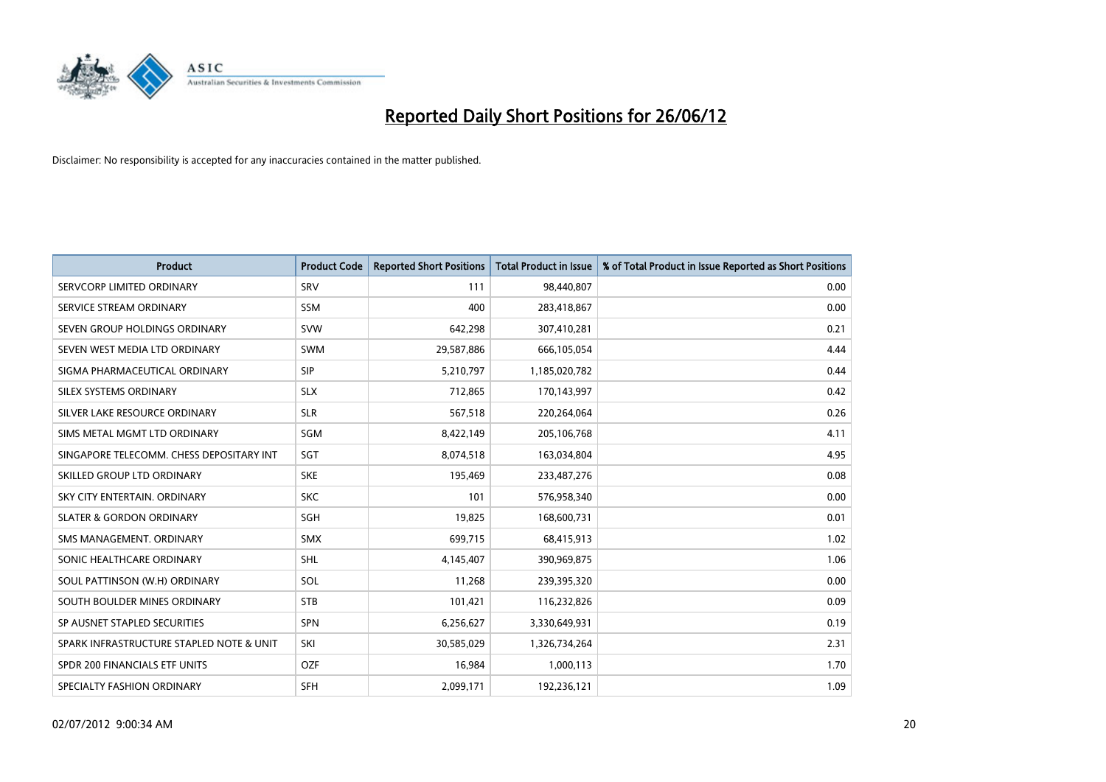

| <b>Product</b>                           | <b>Product Code</b> | <b>Reported Short Positions</b> | <b>Total Product in Issue</b> | % of Total Product in Issue Reported as Short Positions |
|------------------------------------------|---------------------|---------------------------------|-------------------------------|---------------------------------------------------------|
| SERVCORP LIMITED ORDINARY                | SRV                 | 111                             | 98,440,807                    | 0.00                                                    |
| SERVICE STREAM ORDINARY                  | <b>SSM</b>          | 400                             | 283,418,867                   | 0.00                                                    |
| SEVEN GROUP HOLDINGS ORDINARY            | <b>SVW</b>          | 642,298                         | 307,410,281                   | 0.21                                                    |
| SEVEN WEST MEDIA LTD ORDINARY            | <b>SWM</b>          | 29,587,886                      | 666,105,054                   | 4.44                                                    |
| SIGMA PHARMACEUTICAL ORDINARY            | <b>SIP</b>          | 5,210,797                       | 1,185,020,782                 | 0.44                                                    |
| SILEX SYSTEMS ORDINARY                   | <b>SLX</b>          | 712,865                         | 170,143,997                   | 0.42                                                    |
| SILVER LAKE RESOURCE ORDINARY            | <b>SLR</b>          | 567,518                         | 220,264,064                   | 0.26                                                    |
| SIMS METAL MGMT LTD ORDINARY             | SGM                 | 8,422,149                       | 205,106,768                   | 4.11                                                    |
| SINGAPORE TELECOMM. CHESS DEPOSITARY INT | SGT                 | 8,074,518                       | 163,034,804                   | 4.95                                                    |
| SKILLED GROUP LTD ORDINARY               | <b>SKE</b>          | 195,469                         | 233,487,276                   | 0.08                                                    |
| SKY CITY ENTERTAIN, ORDINARY             | <b>SKC</b>          | 101                             | 576,958,340                   | 0.00                                                    |
| <b>SLATER &amp; GORDON ORDINARY</b>      | SGH                 | 19,825                          | 168,600,731                   | 0.01                                                    |
| SMS MANAGEMENT. ORDINARY                 | <b>SMX</b>          | 699,715                         | 68,415,913                    | 1.02                                                    |
| SONIC HEALTHCARE ORDINARY                | SHL                 | 4,145,407                       | 390,969,875                   | 1.06                                                    |
| SOUL PATTINSON (W.H) ORDINARY            | <b>SOL</b>          | 11,268                          | 239,395,320                   | 0.00                                                    |
| SOUTH BOULDER MINES ORDINARY             | <b>STB</b>          | 101,421                         | 116,232,826                   | 0.09                                                    |
| SP AUSNET STAPLED SECURITIES             | <b>SPN</b>          | 6,256,627                       | 3,330,649,931                 | 0.19                                                    |
| SPARK INFRASTRUCTURE STAPLED NOTE & UNIT | SKI                 | 30,585,029                      | 1,326,734,264                 | 2.31                                                    |
| SPDR 200 FINANCIALS ETF UNITS            | <b>OZF</b>          | 16,984                          | 1,000,113                     | 1.70                                                    |
| SPECIALTY FASHION ORDINARY               | <b>SFH</b>          | 2,099,171                       | 192,236,121                   | 1.09                                                    |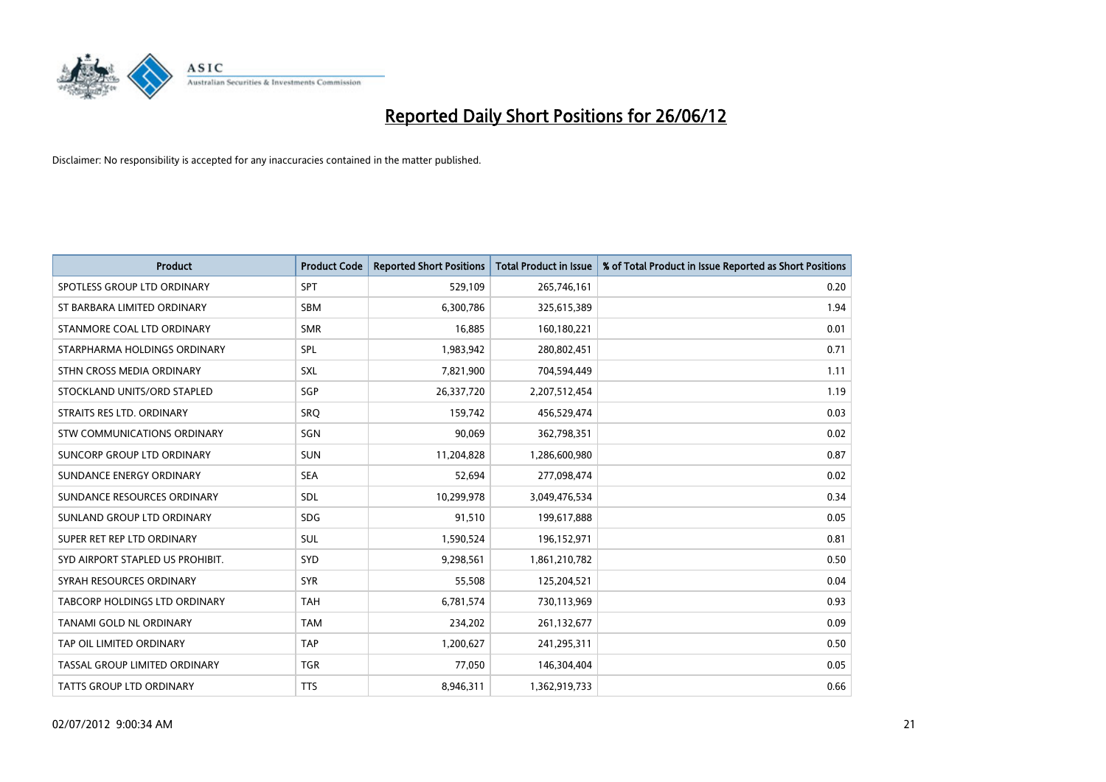

| <b>Product</b>                   | <b>Product Code</b> | <b>Reported Short Positions</b> | <b>Total Product in Issue</b> | % of Total Product in Issue Reported as Short Positions |
|----------------------------------|---------------------|---------------------------------|-------------------------------|---------------------------------------------------------|
| SPOTLESS GROUP LTD ORDINARY      | <b>SPT</b>          | 529,109                         | 265,746,161                   | 0.20                                                    |
| ST BARBARA LIMITED ORDINARY      | <b>SBM</b>          | 6,300,786                       | 325,615,389                   | 1.94                                                    |
| STANMORE COAL LTD ORDINARY       | <b>SMR</b>          | 16,885                          | 160,180,221                   | 0.01                                                    |
| STARPHARMA HOLDINGS ORDINARY     | SPL                 | 1,983,942                       | 280,802,451                   | 0.71                                                    |
| STHN CROSS MEDIA ORDINARY        | SXL                 | 7,821,900                       | 704,594,449                   | 1.11                                                    |
| STOCKLAND UNITS/ORD STAPLED      | SGP                 | 26,337,720                      | 2,207,512,454                 | 1.19                                                    |
| STRAITS RES LTD. ORDINARY        | <b>SRQ</b>          | 159,742                         | 456,529,474                   | 0.03                                                    |
| STW COMMUNICATIONS ORDINARY      | SGN                 | 90,069                          | 362,798,351                   | 0.02                                                    |
| SUNCORP GROUP LTD ORDINARY       | <b>SUN</b>          | 11,204,828                      | 1,286,600,980                 | 0.87                                                    |
| SUNDANCE ENERGY ORDINARY         | <b>SEA</b>          | 52,694                          | 277,098,474                   | 0.02                                                    |
| SUNDANCE RESOURCES ORDINARY      | <b>SDL</b>          | 10,299,978                      | 3,049,476,534                 | 0.34                                                    |
| SUNLAND GROUP LTD ORDINARY       | <b>SDG</b>          | 91,510                          | 199,617,888                   | 0.05                                                    |
| SUPER RET REP LTD ORDINARY       | <b>SUL</b>          | 1,590,524                       | 196,152,971                   | 0.81                                                    |
| SYD AIRPORT STAPLED US PROHIBIT. | SYD                 | 9,298,561                       | 1,861,210,782                 | 0.50                                                    |
| SYRAH RESOURCES ORDINARY         | <b>SYR</b>          | 55,508                          | 125,204,521                   | 0.04                                                    |
| TABCORP HOLDINGS LTD ORDINARY    | <b>TAH</b>          | 6,781,574                       | 730,113,969                   | 0.93                                                    |
| TANAMI GOLD NL ORDINARY          | <b>TAM</b>          | 234,202                         | 261,132,677                   | 0.09                                                    |
| TAP OIL LIMITED ORDINARY         | <b>TAP</b>          | 1,200,627                       | 241,295,311                   | 0.50                                                    |
| TASSAL GROUP LIMITED ORDINARY    | <b>TGR</b>          | 77,050                          | 146,304,404                   | 0.05                                                    |
| TATTS GROUP LTD ORDINARY         | <b>TTS</b>          | 8,946,311                       | 1,362,919,733                 | 0.66                                                    |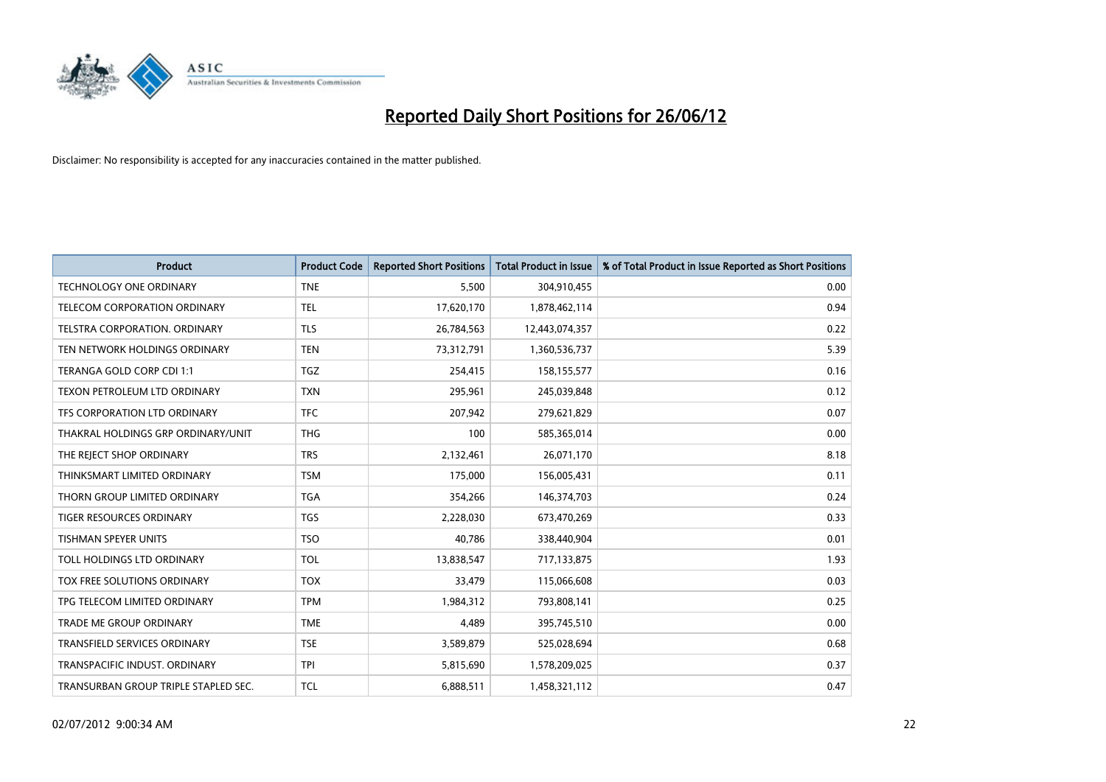

| <b>Product</b>                       | <b>Product Code</b> | <b>Reported Short Positions</b> | <b>Total Product in Issue</b> | % of Total Product in Issue Reported as Short Positions |
|--------------------------------------|---------------------|---------------------------------|-------------------------------|---------------------------------------------------------|
| <b>TECHNOLOGY ONE ORDINARY</b>       | <b>TNE</b>          | 5,500                           | 304,910,455                   | 0.00                                                    |
| TELECOM CORPORATION ORDINARY         | <b>TEL</b>          | 17,620,170                      | 1,878,462,114                 | 0.94                                                    |
| <b>TELSTRA CORPORATION, ORDINARY</b> | <b>TLS</b>          | 26,784,563                      | 12,443,074,357                | 0.22                                                    |
| TEN NETWORK HOLDINGS ORDINARY        | <b>TEN</b>          | 73,312,791                      | 1,360,536,737                 | 5.39                                                    |
| TERANGA GOLD CORP CDI 1:1            | <b>TGZ</b>          | 254,415                         | 158,155,577                   | 0.16                                                    |
| TEXON PETROLEUM LTD ORDINARY         | <b>TXN</b>          | 295,961                         | 245,039,848                   | 0.12                                                    |
| TFS CORPORATION LTD ORDINARY         | <b>TFC</b>          | 207,942                         | 279,621,829                   | 0.07                                                    |
| THAKRAL HOLDINGS GRP ORDINARY/UNIT   | <b>THG</b>          | 100                             | 585,365,014                   | 0.00                                                    |
| THE REJECT SHOP ORDINARY             | <b>TRS</b>          | 2,132,461                       | 26,071,170                    | 8.18                                                    |
| THINKSMART LIMITED ORDINARY          | <b>TSM</b>          | 175,000                         | 156,005,431                   | 0.11                                                    |
| THORN GROUP LIMITED ORDINARY         | <b>TGA</b>          | 354,266                         | 146,374,703                   | 0.24                                                    |
| <b>TIGER RESOURCES ORDINARY</b>      | <b>TGS</b>          | 2,228,030                       | 673,470,269                   | 0.33                                                    |
| <b>TISHMAN SPEYER UNITS</b>          | <b>TSO</b>          | 40.786                          | 338,440,904                   | 0.01                                                    |
| TOLL HOLDINGS LTD ORDINARY           | <b>TOL</b>          | 13,838,547                      | 717,133,875                   | 1.93                                                    |
| TOX FREE SOLUTIONS ORDINARY          | <b>TOX</b>          | 33,479                          | 115,066,608                   | 0.03                                                    |
| TPG TELECOM LIMITED ORDINARY         | <b>TPM</b>          | 1,984,312                       | 793,808,141                   | 0.25                                                    |
| <b>TRADE ME GROUP ORDINARY</b>       | <b>TME</b>          | 4,489                           | 395,745,510                   | 0.00                                                    |
| TRANSFIELD SERVICES ORDINARY         | <b>TSE</b>          | 3,589,879                       | 525,028,694                   | 0.68                                                    |
| TRANSPACIFIC INDUST, ORDINARY        | <b>TPI</b>          | 5,815,690                       | 1,578,209,025                 | 0.37                                                    |
| TRANSURBAN GROUP TRIPLE STAPLED SEC. | <b>TCL</b>          | 6,888,511                       | 1,458,321,112                 | 0.47                                                    |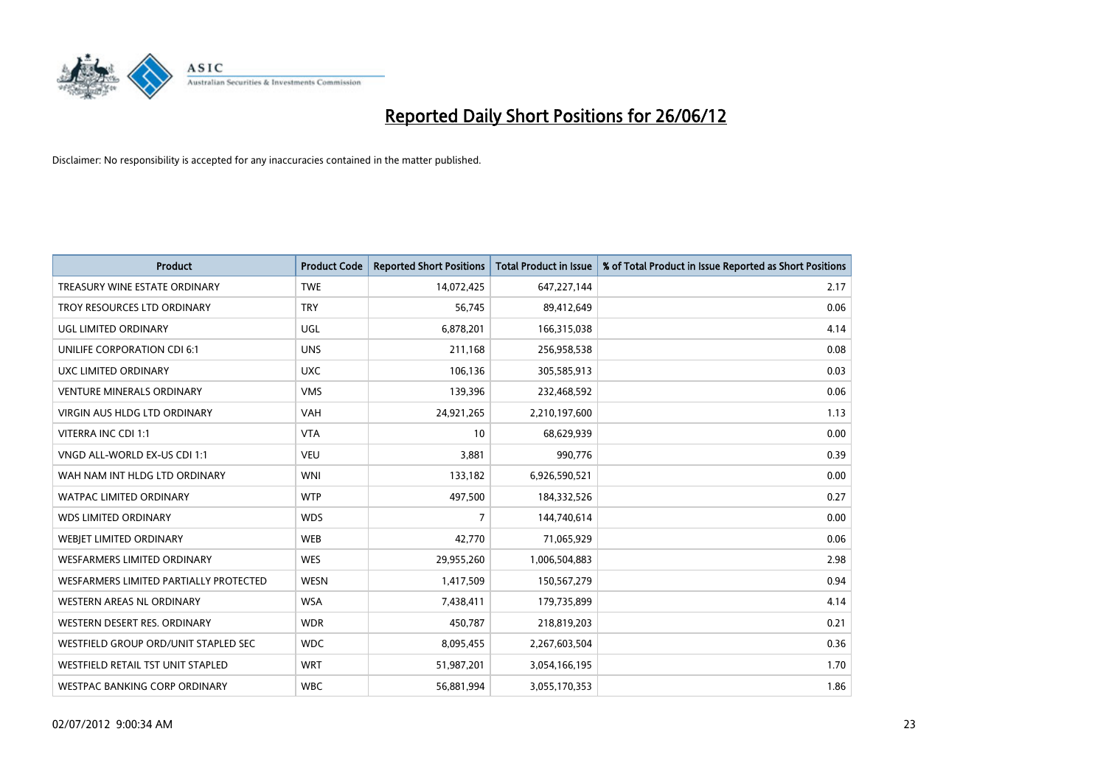

| <b>Product</b>                         | <b>Product Code</b> | <b>Reported Short Positions</b> | <b>Total Product in Issue</b> | % of Total Product in Issue Reported as Short Positions |
|----------------------------------------|---------------------|---------------------------------|-------------------------------|---------------------------------------------------------|
| TREASURY WINE ESTATE ORDINARY          | <b>TWE</b>          | 14,072,425                      | 647,227,144                   | 2.17                                                    |
| TROY RESOURCES LTD ORDINARY            | <b>TRY</b>          | 56,745                          | 89,412,649                    | 0.06                                                    |
| UGL LIMITED ORDINARY                   | UGL                 | 6,878,201                       | 166,315,038                   | 4.14                                                    |
| UNILIFE CORPORATION CDI 6:1            | <b>UNS</b>          | 211,168                         | 256,958,538                   | 0.08                                                    |
| UXC LIMITED ORDINARY                   | <b>UXC</b>          | 106,136                         | 305,585,913                   | 0.03                                                    |
| <b>VENTURE MINERALS ORDINARY</b>       | <b>VMS</b>          | 139,396                         | 232,468,592                   | 0.06                                                    |
| VIRGIN AUS HLDG LTD ORDINARY           | <b>VAH</b>          | 24,921,265                      | 2,210,197,600                 | 1.13                                                    |
| VITERRA INC CDI 1:1                    | <b>VTA</b>          | 10                              | 68,629,939                    | 0.00                                                    |
| VNGD ALL-WORLD EX-US CDI 1:1           | <b>VEU</b>          | 3,881                           | 990,776                       | 0.39                                                    |
| WAH NAM INT HLDG LTD ORDINARY          | <b>WNI</b>          | 133,182                         | 6,926,590,521                 | 0.00                                                    |
| WATPAC LIMITED ORDINARY                | <b>WTP</b>          | 497,500                         | 184,332,526                   | 0.27                                                    |
| <b>WDS LIMITED ORDINARY</b>            | <b>WDS</b>          | 7                               | 144,740,614                   | 0.00                                                    |
| WEBIET LIMITED ORDINARY                | <b>WEB</b>          | 42,770                          | 71,065,929                    | 0.06                                                    |
| <b>WESFARMERS LIMITED ORDINARY</b>     | <b>WES</b>          | 29,955,260                      | 1,006,504,883                 | 2.98                                                    |
| WESFARMERS LIMITED PARTIALLY PROTECTED | <b>WESN</b>         | 1,417,509                       | 150,567,279                   | 0.94                                                    |
| WESTERN AREAS NL ORDINARY              | <b>WSA</b>          | 7,438,411                       | 179,735,899                   | 4.14                                                    |
| WESTERN DESERT RES. ORDINARY           | <b>WDR</b>          | 450,787                         | 218,819,203                   | 0.21                                                    |
| WESTFIELD GROUP ORD/UNIT STAPLED SEC   | <b>WDC</b>          | 8,095,455                       | 2,267,603,504                 | 0.36                                                    |
| WESTFIELD RETAIL TST UNIT STAPLED      | <b>WRT</b>          | 51,987,201                      | 3,054,166,195                 | 1.70                                                    |
| WESTPAC BANKING CORP ORDINARY          | <b>WBC</b>          | 56,881,994                      | 3,055,170,353                 | 1.86                                                    |